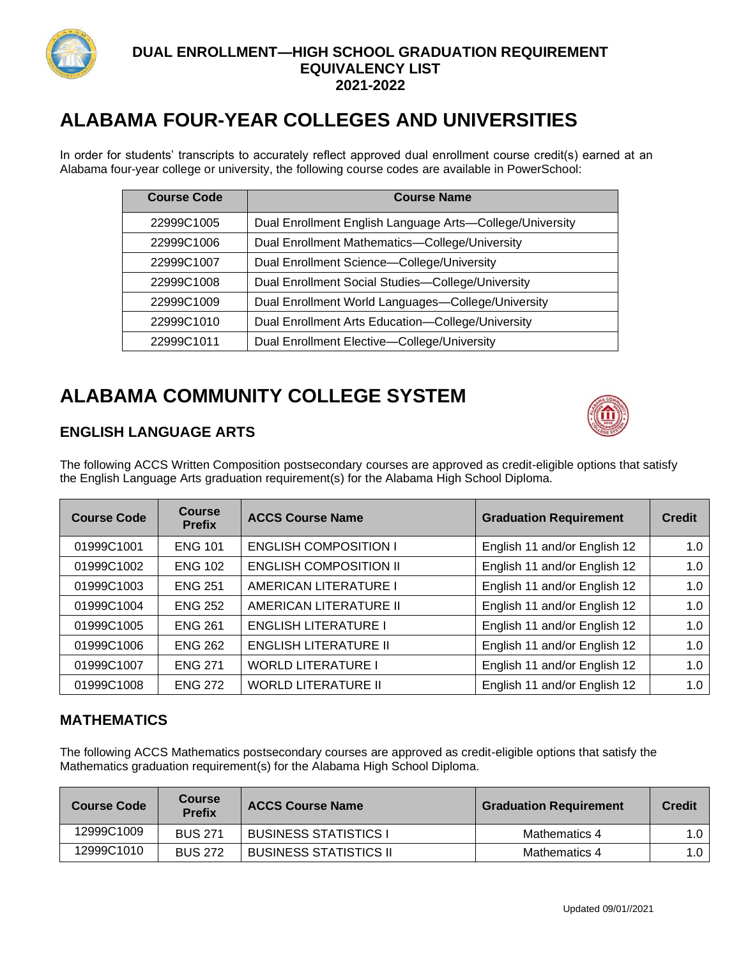

# **ALABAMA FOUR-YEAR COLLEGES AND UNIVERSITIES**

In order for students' transcripts to accurately reflect approved dual enrollment course credit(s) earned at an Alabama four-year college or university, the following course codes are available in PowerSchool:

| <b>Course Code</b> | <b>Course Name</b>                                       |
|--------------------|----------------------------------------------------------|
| 22999C1005         | Dual Enrollment English Language Arts-College/University |
| 22999C1006         | Dual Enrollment Mathematics-College/University           |
| 22999C1007         | Dual Enrollment Science-College/University               |
| 22999C1008         | Dual Enrollment Social Studies-College/University        |
| 22999C1009         | Dual Enrollment World Languages-College/University       |
| 22999C1010         | Dual Enrollment Arts Education-College/University        |
| 22999C1011         | Dual Enrollment Elective-College/University              |

# **ALABAMA COMMUNITY COLLEGE SYSTEM**



# **ENGLISH LANGUAGE ARTS**

The following ACCS Written Composition postsecondary courses are approved as credit-eligible options that satisfy the English Language Arts graduation requirement(s) for the Alabama High School Diploma.

| <b>Course Code</b> | <b>Course</b><br><b>Prefix</b> | <b>ACCS Course Name</b>       | <b>Graduation Requirement</b> | <b>Credit</b> |
|--------------------|--------------------------------|-------------------------------|-------------------------------|---------------|
| 01999C1001         | <b>ENG 101</b>                 | <b>ENGLISH COMPOSITION I</b>  | English 11 and/or English 12  | 1.0           |
| 01999C1002         | <b>ENG 102</b>                 | <b>ENGLISH COMPOSITION II</b> | English 11 and/or English 12  | 1.0           |
| 01999C1003         | <b>ENG 251</b>                 | <b>AMERICAN LITERATURE I</b>  | English 11 and/or English 12  | 1.0           |
| 01999C1004         | <b>ENG 252</b>                 | AMERICAN LITERATURE II        | English 11 and/or English 12  |               |
| 01999C1005         | <b>ENG 261</b>                 | <b>ENGLISH LITERATURE I</b>   | English 11 and/or English 12  | 1.0           |
| 01999C1006         | <b>ENG 262</b>                 | <b>ENGLISH LITERATURE II</b>  | English 11 and/or English 12  | 1.0           |
| 01999C1007         | <b>ENG 271</b>                 | <b>WORLD LITERATURE I</b>     | English 11 and/or English 12  |               |
| 01999C1008         | <b>ENG 272</b>                 | <b>WORLD LITERATURE II</b>    | English 11 and/or English 12  | 1.0           |

#### **MATHEMATICS**

The following ACCS Mathematics postsecondary courses are approved as credit-eligible options that satisfy the Mathematics graduation requirement(s) for the Alabama High School Diploma.

| <b>Course Code</b> | <b>Course</b><br><b>Prefix</b> | <b>ACCS Course Name</b>       | <b>Graduation Requirement</b> | <b>Credit</b> |
|--------------------|--------------------------------|-------------------------------|-------------------------------|---------------|
| 12999C1009         | <b>BUS 271</b>                 | <b>BUSINESS STATISTICS I</b>  | Mathematics 4                 | 1.0           |
| 12999C1010         | <b>BUS 272</b>                 | <b>BUSINESS STATISTICS II</b> | Mathematics 4                 | 1.0           |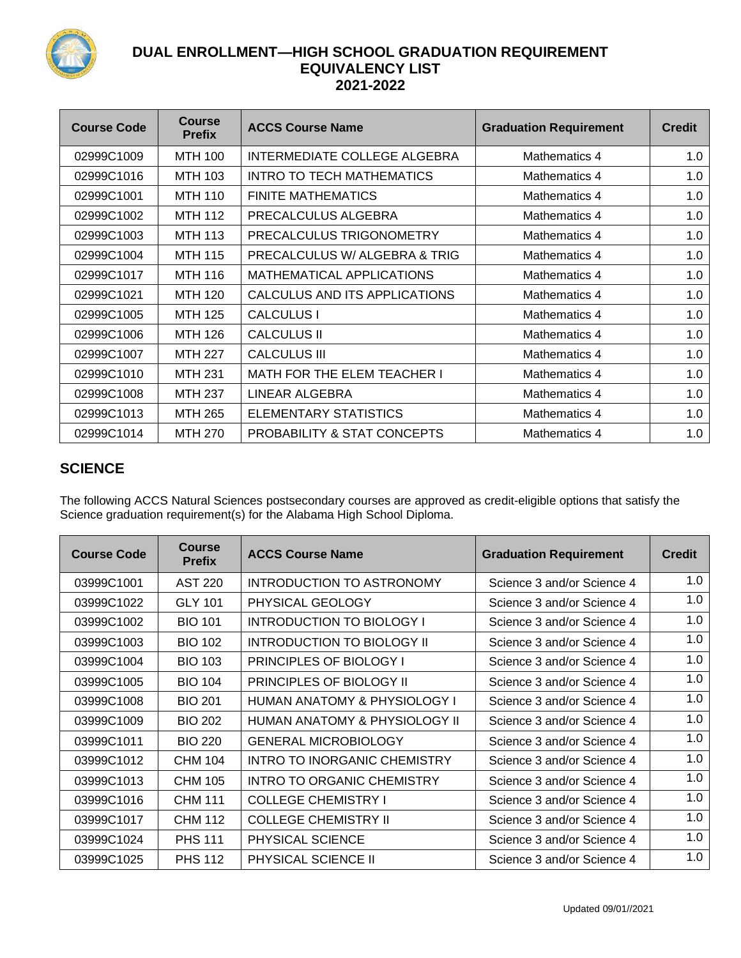

| <b>Course Code</b> | <b>Course</b><br><b>Prefix</b> | <b>ACCS Course Name</b>       | <b>Graduation Requirement</b> | <b>Credit</b> |
|--------------------|--------------------------------|-------------------------------|-------------------------------|---------------|
| 02999C1009         | MTH 100                        | INTERMEDIATE COLLEGE ALGEBRA  | Mathematics 4                 | 1.0           |
| 02999C1016         | <b>MTH 103</b>                 | INTRO TO TECH MATHEMATICS     | Mathematics 4                 | 1.0           |
| 02999C1001         | <b>MTH 110</b>                 | <b>FINITE MATHEMATICS</b>     | Mathematics 4                 | 1.0           |
| 02999C1002         | MTH 112                        | PRECALCULUS ALGEBRA           | Mathematics 4                 | 1.0           |
| 02999C1003         | <b>MTH 113</b>                 | PRECALCULUS TRIGONOMETRY      | Mathematics 4                 | 1.0           |
| 02999C1004         | <b>MTH 115</b>                 | PRECALCULUS W/ ALGEBRA & TRIG | Mathematics 4                 | 1.0           |
| 02999C1017         | MTH 116                        | MATHEMATICAL APPLICATIONS     | Mathematics 4                 | 1.0           |
| 02999C1021         | <b>MTH 120</b>                 | CALCULUS AND ITS APPLICATIONS | Mathematics 4                 | 1.0           |
| 02999C1005         | <b>MTH 125</b>                 | <b>CALCULUS I</b>             | Mathematics 4                 | 1.0           |
| 02999C1006         | MTH 126                        | <b>CALCULUS II</b>            | Mathematics 4                 | 1.0           |
| 02999C1007         | <b>MTH 227</b>                 | CALCULUS III                  | Mathematics 4                 | 1.0           |
| 02999C1010         | <b>MTH 231</b>                 | MATH FOR THE ELEM TEACHER I   | Mathematics 4                 | 1.0           |
| 02999C1008         | MTH 237                        | LINEAR ALGEBRA                | Mathematics 4                 | 1.0           |
| 02999C1013         | MTH 265                        | ELEMENTARY STATISTICS         | Mathematics 4                 | 1.0           |
| 02999C1014         | <b>MTH 270</b>                 | PROBABILITY & STAT CONCEPTS   | Mathematics 4                 | 1.0           |

# **SCIENCE**

The following ACCS Natural Sciences postsecondary courses are approved as credit-eligible options that satisfy the Science graduation requirement(s) for the Alabama High School Diploma.

| <b>Course Code</b> | <b>Course</b><br><b>Prefix</b> | <b>ACCS Course Name</b>                 | <b>Graduation Requirement</b> | <b>Credit</b> |
|--------------------|--------------------------------|-----------------------------------------|-------------------------------|---------------|
| 03999C1001         | <b>AST 220</b>                 | INTRODUCTION TO ASTRONOMY               | Science 3 and/or Science 4    | 1.0           |
| 03999C1022         | <b>GLY 101</b>                 | PHYSICAL GEOLOGY                        | Science 3 and/or Science 4    | 1.0           |
| 03999C1002         | <b>BIO 101</b>                 | <b>INTRODUCTION TO BIOLOGY I</b>        | Science 3 and/or Science 4    | 1.0           |
| 03999C1003         | <b>BIO 102</b>                 | <b>INTRODUCTION TO BIOLOGY II</b>       | Science 3 and/or Science 4    | 1.0           |
| 03999C1004         | <b>BIO 103</b>                 | <b>PRINCIPLES OF BIOLOGY I</b>          | Science 3 and/or Science 4    | 1.0           |
| 03999C1005         | <b>BIO 104</b>                 | <b>PRINCIPLES OF BIOLOGY II</b>         | Science 3 and/or Science 4    | 1.0           |
| 03999C1008         | <b>BIO 201</b>                 | <b>HUMAN ANATOMY &amp; PHYSIOLOGY I</b> | Science 3 and/or Science 4    | 1.0           |
| 03999C1009         | <b>BIO 202</b>                 | HUMAN ANATOMY & PHYSIOLOGY II           | Science 3 and/or Science 4    | 1.0           |
| 03999C1011         | <b>BIO 220</b>                 | <b>GENERAL MICROBIOLOGY</b>             | Science 3 and/or Science 4    | 1.0           |
| 03999C1012         | CHM 104                        | INTRO TO INORGANIC CHEMISTRY            | Science 3 and/or Science 4    | 1.0           |
| 03999C1013         | <b>CHM 105</b>                 | <b>INTRO TO ORGANIC CHEMISTRY</b>       | Science 3 and/or Science 4    | 1.0           |
| 03999C1016         | <b>CHM 111</b>                 | <b>COLLEGE CHEMISTRY I</b>              | Science 3 and/or Science 4    | 1.0           |
| 03999C1017         | <b>CHM 112</b>                 | <b>COLLEGE CHEMISTRY II</b>             | Science 3 and/or Science 4    | 1.0           |
| 03999C1024         | <b>PHS 111</b>                 | PHYSICAL SCIENCE                        | Science 3 and/or Science 4    | 1.0           |
| 03999C1025         | <b>PHS 112</b>                 | <b>PHYSICAL SCIENCE II</b>              | Science 3 and/or Science 4    | 1.0           |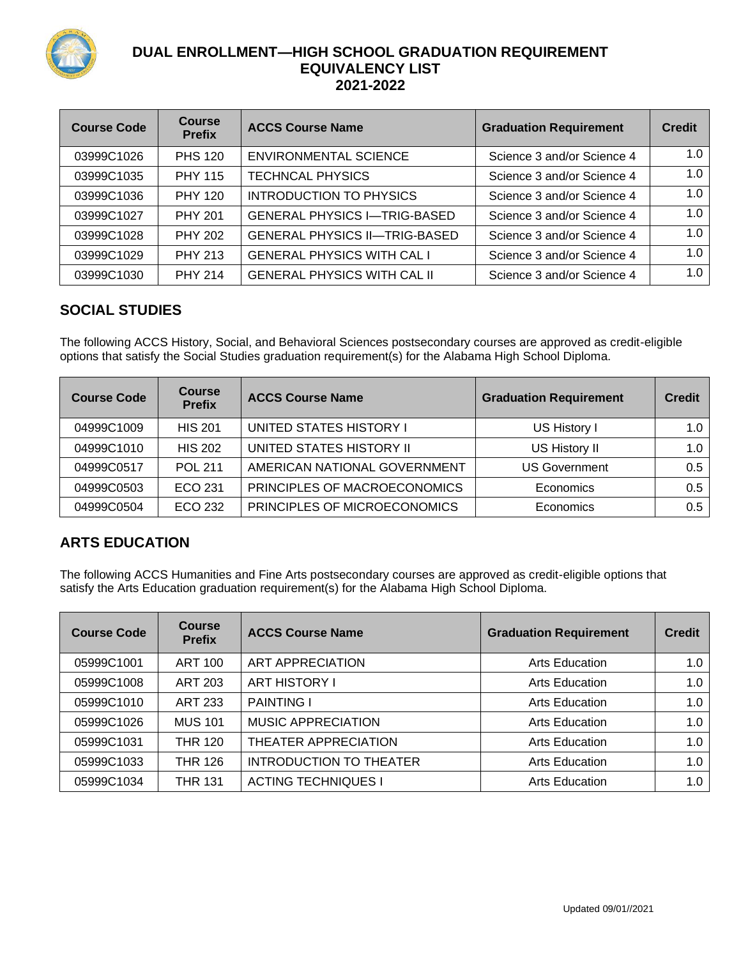

| <b>Course Code</b> | <b>Course</b><br><b>Prefix</b> | <b>ACCS Course Name</b>              | <b>Graduation Requirement</b> | <b>Credit</b> |
|--------------------|--------------------------------|--------------------------------------|-------------------------------|---------------|
| 03999C1026         | <b>PHS 120</b>                 | <b>ENVIRONMENTAL SCIENCE</b>         | Science 3 and/or Science 4    | 1.0           |
| 03999C1035         | <b>PHY 115</b>                 | <b>TECHNCAL PHYSICS</b>              | Science 3 and/or Science 4    | 1.0           |
| 03999C1036         | <b>PHY 120</b>                 | INTRODUCTION TO PHYSICS              | Science 3 and/or Science 4    | 1.0           |
| 03999C1027         | <b>PHY 201</b>                 | <b>GENERAL PHYSICS I-TRIG-BASED</b>  | Science 3 and/or Science 4    | 1.0           |
| 03999C1028         | <b>PHY 202</b>                 | <b>GENERAL PHYSICS II-TRIG-BASED</b> | Science 3 and/or Science 4    | 1.0           |
| 03999C1029         | <b>PHY 213</b>                 | <b>GENERAL PHYSICS WITH CAL I</b>    | Science 3 and/or Science 4    | 1.0           |
| 03999C1030         | <b>PHY 214</b>                 | <b>GENERAL PHYSICS WITH CAL II</b>   | Science 3 and/or Science 4    | 1.0           |

# **SOCIAL STUDIES**

The following ACCS History, Social, and Behavioral Sciences postsecondary courses are approved as credit-eligible options that satisfy the Social Studies graduation requirement(s) for the Alabama High School Diploma.

| <b>Course Code</b> | <b>Course</b><br><b>Prefix</b> | <b>ACCS Course Name</b>      | <b>Graduation Requirement</b> | <b>Credit</b> |
|--------------------|--------------------------------|------------------------------|-------------------------------|---------------|
| 04999C1009         | <b>HIS 201</b>                 | UNITED STATES HISTORY I      | US History I                  | 1.0           |
| 04999C1010         | <b>HIS 202</b>                 | UNITED STATES HISTORY II     | US History II                 | 1.0           |
| 04999C0517         | <b>POL 211</b>                 | AMERICAN NATIONAL GOVERNMENT | <b>US Government</b>          | 0.5           |
| 04999C0503         | ECO 231                        | PRINCIPLES OF MACROECONOMICS | Economics                     | 0.5           |
| 04999C0504         | ECO 232                        | PRINCIPLES OF MICROECONOMICS | Economics                     | 0.5           |

# **ARTS EDUCATION**

The following ACCS Humanities and Fine Arts postsecondary courses are approved as credit-eligible options that satisfy the Arts Education graduation requirement(s) for the Alabama High School Diploma.

| <b>Course Code</b> | <b>Course</b><br><b>Prefix</b> | <b>ACCS Course Name</b>        | <b>Graduation Requirement</b> | <b>Credit</b> |
|--------------------|--------------------------------|--------------------------------|-------------------------------|---------------|
| 05999C1001         | <b>ART 100</b>                 | <b>ART APPRECIATION</b>        | <b>Arts Education</b>         | 1.0           |
| 05999C1008         | <b>ART 203</b>                 | <b>ART HISTORY I</b>           | Arts Education                | 1.0           |
| 05999C1010         | <b>ART 233</b>                 | <b>PAINTING I</b>              | <b>Arts Education</b>         | 1.0           |
| 05999C1026         | <b>MUS 101</b>                 | <b>MUSIC APPRECIATION</b>      | <b>Arts Education</b>         | 1.0           |
| 05999C1031         | <b>THR 120</b>                 | THEATER APPRECIATION           | <b>Arts Education</b>         | 1.0           |
| 05999C1033         | <b>THR 126</b>                 | <b>INTRODUCTION TO THEATER</b> | <b>Arts Education</b>         | 1.0           |
| 05999C1034         | <b>THR 131</b>                 | <b>ACTING TECHNIQUES I</b>     | <b>Arts Education</b>         | 1.0           |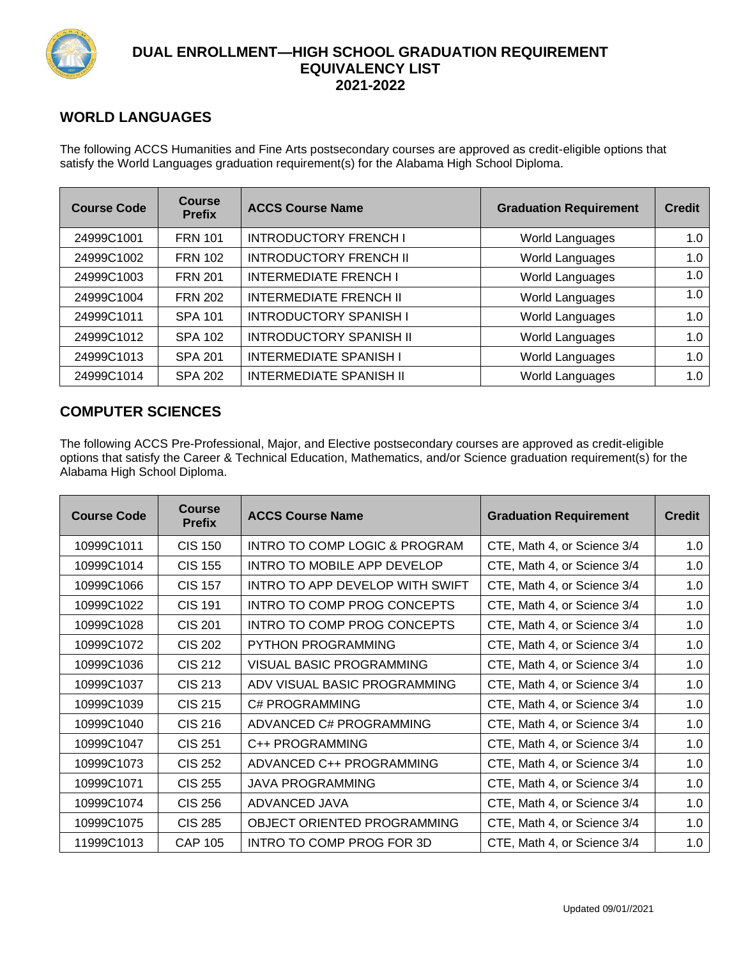

## **WORLD LANGUAGES**

The following ACCS Humanities and Fine Arts postsecondary courses are approved as credit-eligible options that satisfy the World Languages graduation requirement(s) for the Alabama High School Diploma.

| <b>Course Code</b> | <b>Course</b><br><b>Prefix</b> | <b>ACCS Course Name</b>        | <b>Graduation Requirement</b> | <b>Credit</b> |
|--------------------|--------------------------------|--------------------------------|-------------------------------|---------------|
| 24999C1001         | <b>FRN 101</b>                 | <b>INTRODUCTORY FRENCH I</b>   | World Languages               | 1.0           |
| 24999C1002         | <b>FRN 102</b>                 | <b>INTRODUCTORY FRENCH II</b>  | World Languages               | 1.0           |
| 24999C1003         | <b>FRN 201</b>                 | <b>INTERMEDIATE FRENCH I</b>   | World Languages               |               |
| 24999C1004         | <b>FRN 202</b>                 | <b>INTERMEDIATE FRENCH II</b>  | World Languages               | 1.0           |
| 24999C1011         | <b>SPA 101</b>                 | <b>INTRODUCTORY SPANISH I</b>  | World Languages               | 1.0           |
| 24999C1012         | <b>SPA 102</b>                 | <b>INTRODUCTORY SPANISH II</b> | World Languages               | 1.0           |
| 24999C1013         | <b>SPA 201</b>                 | <b>INTERMEDIATE SPANISH I</b>  | World Languages               |               |
| 24999C1014         | <b>SPA 202</b>                 | <b>INTERMEDIATE SPANISH II</b> | World Languages               | 1.0           |

#### **COMPUTER SCIENCES**

The following ACCS Pre-Professional, Major, and Elective postsecondary courses are approved as credit-eligible options that satisfy the Career & Technical Education, Mathematics, and/or Science graduation requirement(s) for the Alabama High School Diploma.

| <b>Course Code</b> | <b>Course</b><br><b>Prefix</b> | <b>ACCS Course Name</b>         | <b>Graduation Requirement</b> |     |
|--------------------|--------------------------------|---------------------------------|-------------------------------|-----|
| 10999C1011         | <b>CIS 150</b>                 | INTRO TO COMP LOGIC & PROGRAM   | CTE, Math 4, or Science 3/4   | 1.0 |
| 10999C1014         | <b>CIS 155</b>                 | INTRO TO MOBILE APP DEVELOP     | CTE, Math 4, or Science 3/4   | 1.0 |
| 10999C1066         | <b>CIS 157</b>                 | INTRO TO APP DEVELOP WITH SWIFT | CTE, Math 4, or Science 3/4   | 1.0 |
| 10999C1022         | <b>CIS 191</b>                 | INTRO TO COMP PROG CONCEPTS     | CTE, Math 4, or Science 3/4   | 1.0 |
| 10999C1028         | <b>CIS 201</b>                 | INTRO TO COMP PROG CONCEPTS     | CTE, Math 4, or Science 3/4   | 1.0 |
| 10999C1072         | <b>CIS 202</b>                 | <b>PYTHON PROGRAMMING</b>       | CTE, Math 4, or Science 3/4   | 1.0 |
| 10999C1036         | CIS 212                        | VISUAL BASIC PROGRAMMING        | CTE, Math 4, or Science 3/4   | 1.0 |
| 10999C1037         | CIS 213                        | ADV VISUAL BASIC PROGRAMMING    | CTE, Math 4, or Science 3/4   | 1.0 |
| 10999C1039         | <b>CIS 215</b>                 | C# PROGRAMMING                  | CTE, Math 4, or Science 3/4   | 1.0 |
| 10999C1040         | <b>CIS 216</b>                 | ADVANCED C# PROGRAMMING         | CTE, Math 4, or Science 3/4   | 1.0 |
| 10999C1047         | <b>CIS 251</b>                 | C++ PROGRAMMING                 | CTE, Math 4, or Science 3/4   | 1.0 |
| 10999C1073         | <b>CIS 252</b>                 | ADVANCED C++ PROGRAMMING        | CTE, Math 4, or Science 3/4   | 1.0 |
| 10999C1071         | <b>CIS 255</b>                 | <b>JAVA PROGRAMMING</b>         | CTE, Math 4, or Science 3/4   | 1.0 |
| 10999C1074         | <b>CIS 256</b>                 | ADVANCED JAVA                   | CTE, Math 4, or Science 3/4   | 1.0 |
| 10999C1075         | <b>CIS 285</b>                 | OBJECT ORIENTED PROGRAMMING     | CTE, Math 4, or Science 3/4   | 1.0 |
| 11999C1013         | <b>CAP 105</b>                 | INTRO TO COMP PROG FOR 3D       | CTE, Math 4, or Science 3/4   | 1.0 |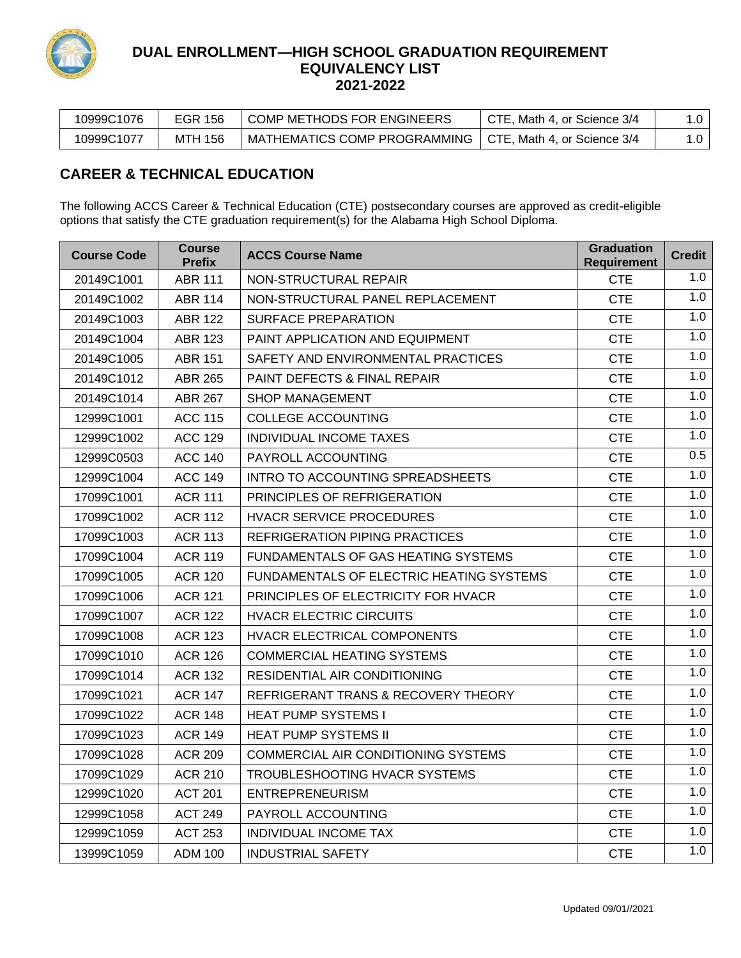

| 10999C1076 | EGR 156 | ' COMP METHODS FOR ENGINEERS                               | CTE, Math 4, or Science 3/4 |  |
|------------|---------|------------------------------------------------------------|-----------------------------|--|
| 10999C1077 | MTH 156 | MATHEMATICS COMP PROGRAMMING   CTE, Math 4, or Science 3/4 |                             |  |

# **CAREER & TECHNICAL EDUCATION**

The following ACCS Career & Technical Education (CTE) postsecondary courses are approved as credit-eligible options that satisfy the CTE graduation requirement(s) for the Alabama High School Diploma.

| <b>Course Code</b> | <b>Course</b><br><b>Prefix</b> | <b>ACCS Course Name</b>                  | <b>Graduation</b><br><b>Requirement</b> | <b>Credit</b> |
|--------------------|--------------------------------|------------------------------------------|-----------------------------------------|---------------|
| 20149C1001         | <b>ABR 111</b>                 | NON-STRUCTURAL REPAIR                    | <b>CTE</b>                              | 1.0           |
| 20149C1002         | <b>ABR 114</b>                 | NON-STRUCTURAL PANEL REPLACEMENT         | <b>CTE</b>                              | 1.0           |
| 20149C1003         | <b>ABR 122</b>                 | <b>SURFACE PREPARATION</b>               | <b>CTE</b>                              | 1.0           |
| 20149C1004         | ABR 123                        | <b>PAINT APPLICATION AND EQUIPMENT</b>   | <b>CTE</b>                              | 1.0           |
| 20149C1005         | ABR 151                        | SAFETY AND ENVIRONMENTAL PRACTICES       | <b>CTE</b>                              | 1.0           |
| 20149C1012         | <b>ABR 265</b>                 | <b>PAINT DEFECTS &amp; FINAL REPAIR</b>  | <b>CTE</b>                              | 1.0           |
| 20149C1014         | <b>ABR 267</b>                 | <b>SHOP MANAGEMENT</b>                   | <b>CTE</b>                              | 1.0           |
| 12999C1001         | <b>ACC 115</b>                 | COLLEGE ACCOUNTING                       | <b>CTE</b>                              | 1.0           |
| 12999C1002         | <b>ACC 129</b>                 | INDIVIDUAL INCOME TAXES                  | <b>CTE</b>                              | 1.0           |
| 12999C0503         | <b>ACC 140</b>                 | PAYROLL ACCOUNTING                       | <b>CTE</b>                              | 0.5           |
| 12999C1004         | <b>ACC 149</b>                 | INTRO TO ACCOUNTING SPREADSHEETS         | <b>CTE</b>                              | 1.0           |
| 17099C1001         | <b>ACR 111</b>                 | PRINCIPLES OF REFRIGERATION              | <b>CTE</b>                              | 1.0           |
| 17099C1002         | <b>ACR 112</b>                 | <b>HVACR SERVICE PROCEDURES</b>          | <b>CTE</b>                              | 1.0           |
| 17099C1003         | <b>ACR 113</b>                 | REFRIGERATION PIPING PRACTICES           | <b>CTE</b>                              | 1.0           |
| 17099C1004         | <b>ACR 119</b>                 | FUNDAMENTALS OF GAS HEATING SYSTEMS      | <b>CTE</b>                              | 1.0           |
| 17099C1005         | <b>ACR 120</b>                 | FUNDAMENTALS OF ELECTRIC HEATING SYSTEMS | <b>CTE</b>                              | 1.0           |
| 17099C1006         | <b>ACR 121</b>                 | PRINCIPLES OF ELECTRICITY FOR HVACR      | <b>CTE</b>                              | 1.0           |
| 17099C1007         | <b>ACR 122</b>                 | <b>HVACR ELECTRIC CIRCUITS</b>           | <b>CTE</b>                              | 1.0           |
| 17099C1008         | ACR 123                        | HVACR ELECTRICAL COMPONENTS              | <b>CTE</b>                              | 1.0           |
| 17099C1010         | <b>ACR 126</b>                 | <b>COMMERCIAL HEATING SYSTEMS</b>        | <b>CTE</b>                              | 1.0           |
| 17099C1014         | ACR 132                        | RESIDENTIAL AIR CONDITIONING             | <b>CTE</b>                              | 1.0           |
| 17099C1021         | <b>ACR 147</b>                 | REFRIGERANT TRANS & RECOVERY THEORY      | <b>CTE</b>                              | 1.0           |
| 17099C1022         | <b>ACR 148</b>                 | <b>HEAT PUMP SYSTEMS I</b>               | <b>CTE</b>                              | 1.0           |
| 17099C1023         | <b>ACR 149</b>                 | <b>HEAT PUMP SYSTEMS II</b>              | <b>CTE</b>                              | 1.0           |
| 17099C1028         | <b>ACR 209</b>                 | COMMERCIAL AIR CONDITIONING SYSTEMS      | <b>CTE</b>                              | 1.0           |
| 17099C1029         | ACR 210                        | TROUBLESHOOTING HVACR SYSTEMS            | <b>CTE</b>                              | 1.0           |
| 12999C1020         | <b>ACT 201</b>                 | <b>ENTREPRENEURISM</b>                   | <b>CTE</b>                              | 1.0           |
| 12999C1058         | <b>ACT 249</b>                 | PAYROLL ACCOUNTING                       | <b>CTE</b>                              | 1.0           |
| 12999C1059         | <b>ACT 253</b>                 | INDIVIDUAL INCOME TAX                    | <b>CTE</b>                              | 1.0           |
| 13999C1059         | ADM 100                        | <b>INDUSTRIAL SAFETY</b>                 | <b>CTE</b>                              | 1.0           |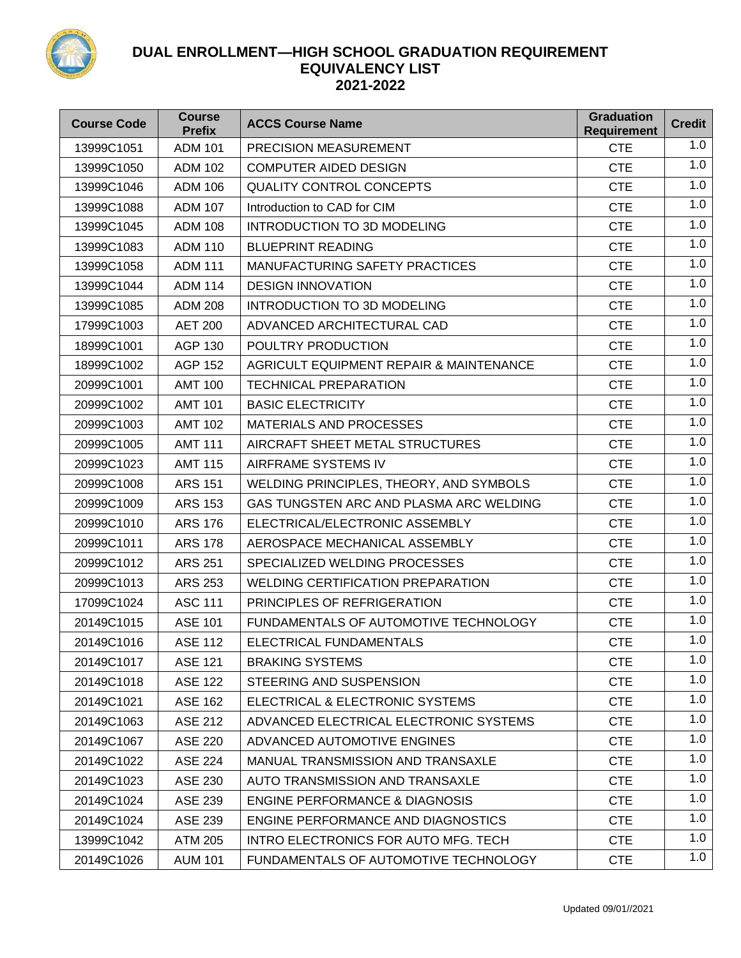

| <b>Course Code</b> | <b>Course</b><br><b>Prefix</b> | <b>ACCS Course Name</b>                            | <b>Graduation</b><br><b>Requirement</b> | <b>Credit</b> |
|--------------------|--------------------------------|----------------------------------------------------|-----------------------------------------|---------------|
| 13999C1051         | <b>ADM 101</b>                 | <b>PRECISION MEASUREMENT</b>                       | <b>CTE</b>                              | 1.0           |
| 13999C1050         | <b>ADM 102</b>                 | <b>COMPUTER AIDED DESIGN</b>                       | <b>CTE</b>                              | 1.0           |
| 13999C1046         | <b>ADM 106</b>                 | <b>QUALITY CONTROL CONCEPTS</b>                    | <b>CTE</b>                              | 1.0           |
| 13999C1088         | <b>ADM 107</b>                 | Introduction to CAD for CIM                        | <b>CTE</b>                              | 1.0           |
| 13999C1045         | <b>ADM 108</b>                 | <b>INTRODUCTION TO 3D MODELING</b>                 | <b>CTE</b>                              | 1.0           |
| 13999C1083         | <b>ADM 110</b>                 | <b>BLUEPRINT READING</b>                           | <b>CTE</b>                              | 1.0           |
| 13999C1058         | <b>ADM 111</b>                 | MANUFACTURING SAFETY PRACTICES                     | <b>CTE</b>                              | 1.0           |
| 13999C1044         | <b>ADM 114</b>                 | <b>DESIGN INNOVATION</b>                           | <b>CTE</b>                              | 1.0           |
| 13999C1085         | <b>ADM 208</b>                 | <b>INTRODUCTION TO 3D MODELING</b>                 | <b>CTE</b>                              | 1.0           |
| 17999C1003         | <b>AET 200</b>                 | ADVANCED ARCHITECTURAL CAD                         | <b>CTE</b>                              | 1.0           |
| 18999C1001         | <b>AGP 130</b>                 | POULTRY PRODUCTION                                 | <b>CTE</b>                              | 1.0           |
| 18999C1002         | <b>AGP 152</b>                 | <b>AGRICULT EQUIPMENT REPAIR &amp; MAINTENANCE</b> | <b>CTE</b>                              | 1.0           |
| 20999C1001         | <b>AMT 100</b>                 | <b>TECHNICAL PREPARATION</b>                       | <b>CTE</b>                              | 1.0           |
| 20999C1002         | <b>AMT 101</b>                 | <b>BASIC ELECTRICITY</b>                           | <b>CTE</b>                              | 1.0           |
| 20999C1003         | <b>AMT 102</b>                 | <b>MATERIALS AND PROCESSES</b>                     | <b>CTE</b>                              | 1.0           |
| 20999C1005         | <b>AMT 111</b>                 | AIRCRAFT SHEET METAL STRUCTURES                    | <b>CTE</b>                              | 1.0           |
| 20999C1023         | <b>AMT 115</b>                 | AIRFRAME SYSTEMS IV                                | <b>CTE</b>                              | 1.0           |
| 20999C1008         | <b>ARS 151</b>                 | WELDING PRINCIPLES, THEORY, AND SYMBOLS            | <b>CTE</b>                              | 1.0           |
| 20999C1009         | <b>ARS 153</b>                 | GAS TUNGSTEN ARC AND PLASMA ARC WELDING            | <b>CTE</b>                              | 1.0           |
| 20999C1010         | <b>ARS 176</b>                 | ELECTRICAL/ELECTRONIC ASSEMBLY                     | <b>CTE</b>                              | 1.0           |
| 20999C1011         | <b>ARS 178</b>                 | AEROSPACE MECHANICAL ASSEMBLY                      | <b>CTE</b>                              | 1.0           |
| 20999C1012         | ARS 251                        | SPECIALIZED WELDING PROCESSES                      | <b>CTE</b>                              | 1.0           |
| 20999C1013         | <b>ARS 253</b>                 | <b>WELDING CERTIFICATION PREPARATION</b>           | <b>CTE</b>                              | 1.0           |
| 17099C1024         | <b>ASC 111</b>                 | PRINCIPLES OF REFRIGERATION                        | <b>CTE</b>                              | 1.0           |
| 20149C1015         | <b>ASE 101</b>                 | FUNDAMENTALS OF AUTOMOTIVE TECHNOLOGY              | <b>CTE</b>                              | 1.0           |
| 20149C1016         | <b>ASE 112</b>                 | ELECTRICAL FUNDAMENTALS                            | <b>CTE</b>                              | 1.0           |
| 20149C1017         | <b>ASE 121</b>                 | <b>BRAKING SYSTEMS</b>                             | <b>CTE</b>                              | 1.0           |
| 20149C1018         | <b>ASE 122</b>                 | STEERING AND SUSPENSION                            | <b>CTE</b>                              | 1.0           |
| 20149C1021         | <b>ASE 162</b>                 | ELECTRICAL & ELECTRONIC SYSTEMS                    | <b>CTE</b>                              | 1.0           |
| 20149C1063         | <b>ASE 212</b>                 | ADVANCED ELECTRICAL ELECTRONIC SYSTEMS             | <b>CTE</b>                              | 1.0           |
| 20149C1067         | <b>ASE 220</b>                 | ADVANCED AUTOMOTIVE ENGINES                        | <b>CTE</b>                              | 1.0           |
| 20149C1022         | <b>ASE 224</b>                 | MANUAL TRANSMISSION AND TRANSAXLE                  | <b>CTE</b>                              | 1.0           |
| 20149C1023         | <b>ASE 230</b>                 | AUTO TRANSMISSION AND TRANSAXLE                    | <b>CTE</b>                              | 1.0           |
| 20149C1024         | <b>ASE 239</b>                 | <b>ENGINE PERFORMANCE &amp; DIAGNOSIS</b>          | <b>CTE</b>                              | 1.0           |
| 20149C1024         | ASE 239                        | ENGINE PERFORMANCE AND DIAGNOSTICS                 | <b>CTE</b>                              | 1.0           |
| 13999C1042         | <b>ATM 205</b>                 | INTRO ELECTRONICS FOR AUTO MFG. TECH               | <b>CTE</b>                              | 1.0           |
| 20149C1026         | <b>AUM 101</b>                 | FUNDAMENTALS OF AUTOMOTIVE TECHNOLOGY              | <b>CTE</b>                              | 1.0           |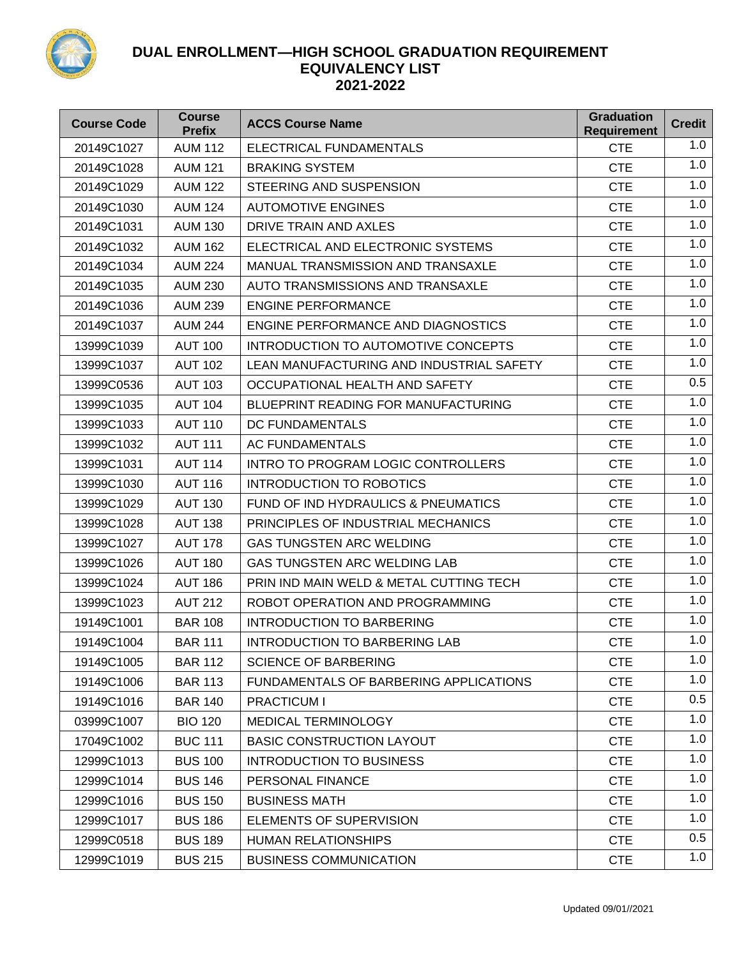

| <b>Course Code</b> | <b>Course</b><br><b>Prefix</b> | <b>ACCS Course Name</b>                  | <b>Graduation</b><br><b>Requirement</b> | <b>Credit</b> |
|--------------------|--------------------------------|------------------------------------------|-----------------------------------------|---------------|
| 20149C1027         | <b>AUM 112</b>                 | ELECTRICAL FUNDAMENTALS                  | <b>CTE</b>                              | 1.0           |
| 20149C1028         | <b>AUM 121</b>                 | <b>BRAKING SYSTEM</b>                    | <b>CTE</b>                              | 1.0           |
| 20149C1029         | <b>AUM 122</b>                 | STEERING AND SUSPENSION                  | <b>CTE</b>                              | 1.0           |
| 20149C1030         | <b>AUM 124</b>                 | <b>AUTOMOTIVE ENGINES</b>                | <b>CTE</b>                              | 1.0           |
| 20149C1031         | <b>AUM 130</b>                 | DRIVE TRAIN AND AXLES                    | <b>CTE</b>                              | 1.0           |
| 20149C1032         | <b>AUM 162</b>                 | ELECTRICAL AND ELECTRONIC SYSTEMS        | <b>CTE</b>                              | 1.0           |
| 20149C1034         | <b>AUM 224</b>                 | MANUAL TRANSMISSION AND TRANSAXLE        | <b>CTE</b>                              | 1.0           |
| 20149C1035         | <b>AUM 230</b>                 | AUTO TRANSMISSIONS AND TRANSAXLE         | <b>CTE</b>                              | 1.0           |
| 20149C1036         | <b>AUM 239</b>                 | <b>ENGINE PERFORMANCE</b>                | <b>CTE</b>                              | 1.0           |
| 20149C1037         | <b>AUM 244</b>                 | ENGINE PERFORMANCE AND DIAGNOSTICS       | <b>CTE</b>                              | 1.0           |
| 13999C1039         | <b>AUT 100</b>                 | INTRODUCTION TO AUTOMOTIVE CONCEPTS      | <b>CTE</b>                              | 1.0           |
| 13999C1037         | <b>AUT 102</b>                 | LEAN MANUFACTURING AND INDUSTRIAL SAFETY | <b>CTE</b>                              | 1.0           |
| 13999C0536         | <b>AUT 103</b>                 | OCCUPATIONAL HEALTH AND SAFETY           | <b>CTE</b>                              | 0.5           |
| 13999C1035         | <b>AUT 104</b>                 | BLUEPRINT READING FOR MANUFACTURING      | <b>CTE</b>                              | 1.0           |
| 13999C1033         | <b>AUT 110</b>                 | DC FUNDAMENTALS                          | <b>CTE</b>                              | 1.0           |
| 13999C1032         | <b>AUT 111</b>                 | AC FUNDAMENTALS                          | <b>CTE</b>                              | 1.0           |
| 13999C1031         | <b>AUT 114</b>                 | INTRO TO PROGRAM LOGIC CONTROLLERS       | <b>CTE</b>                              | 1.0           |
| 13999C1030         | <b>AUT 116</b>                 | <b>INTRODUCTION TO ROBOTICS</b>          | <b>CTE</b>                              | 1.0           |
| 13999C1029         | <b>AUT 130</b>                 | FUND OF IND HYDRAULICS & PNEUMATICS      | <b>CTE</b>                              | 1.0           |
| 13999C1028         | <b>AUT 138</b>                 | PRINCIPLES OF INDUSTRIAL MECHANICS       | <b>CTE</b>                              | 1.0           |
| 13999C1027         | <b>AUT 178</b>                 | <b>GAS TUNGSTEN ARC WELDING</b>          | <b>CTE</b>                              | 1.0           |
| 13999C1026         | <b>AUT 180</b>                 | GAS TUNGSTEN ARC WELDING LAB             | <b>CTE</b>                              | 1.0           |
| 13999C1024         | <b>AUT 186</b>                 | PRIN IND MAIN WELD & METAL CUTTING TECH  | <b>CTE</b>                              | 1.0           |
| 13999C1023         | <b>AUT 212</b>                 | ROBOT OPERATION AND PROGRAMMING          | <b>CTE</b>                              | 1.0           |
| 19149C1001         | <b>BAR 108</b>                 | <b>INTRODUCTION TO BARBERING</b>         | <b>CTE</b>                              | 1.0           |
| 19149C1004         | <b>BAR 111</b>                 | <b>INTRODUCTION TO BARBERING LAB</b>     | <b>CTE</b>                              | 1.0           |
| 19149C1005         | <b>BAR 112</b>                 | <b>SCIENCE OF BARBERING</b>              | <b>CTE</b>                              | 1.0           |
| 19149C1006         | <b>BAR 113</b>                 | FUNDAMENTALS OF BARBERING APPLICATIONS   | <b>CTE</b>                              | 1.0           |
| 19149C1016         | <b>BAR 140</b>                 | <b>PRACTICUM I</b>                       | <b>CTE</b>                              | 0.5           |
| 03999C1007         | <b>BIO 120</b>                 | MEDICAL TERMINOLOGY                      | <b>CTE</b>                              | 1.0           |
| 17049C1002         | <b>BUC 111</b>                 | <b>BASIC CONSTRUCTION LAYOUT</b>         | <b>CTE</b>                              | 1.0           |
| 12999C1013         | <b>BUS 100</b>                 | INTRODUCTION TO BUSINESS                 | <b>CTE</b>                              | 1.0           |
| 12999C1014         | <b>BUS 146</b>                 | PERSONAL FINANCE                         | <b>CTE</b>                              | 1.0           |
| 12999C1016         | <b>BUS 150</b>                 | <b>BUSINESS MATH</b>                     | <b>CTE</b>                              | 1.0           |
| 12999C1017         | <b>BUS 186</b>                 | ELEMENTS OF SUPERVISION                  | <b>CTE</b>                              | 1.0           |
| 12999C0518         | <b>BUS 189</b>                 | <b>HUMAN RELATIONSHIPS</b>               | <b>CTE</b>                              | 0.5           |
| 12999C1019         | <b>BUS 215</b>                 | <b>BUSINESS COMMUNICATION</b>            | <b>CTE</b>                              | 1.0           |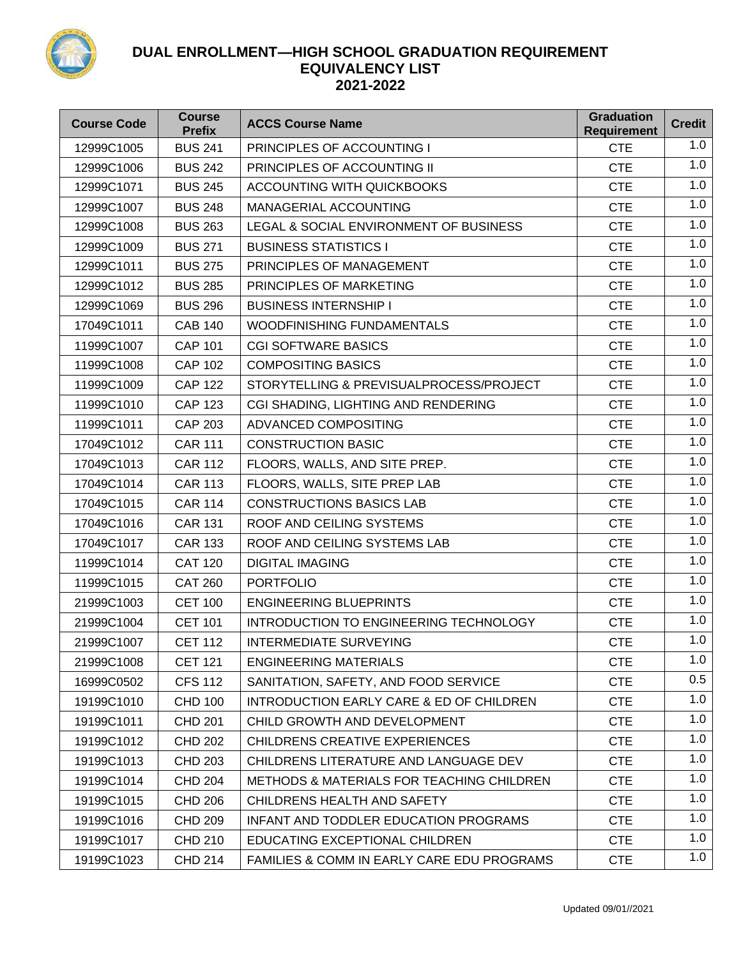

| <b>Course Code</b> | <b>Course</b><br><b>Prefix</b> | <b>ACCS Course Name</b>                              | <b>Graduation</b><br><b>Requirement</b> | <b>Credit</b> |
|--------------------|--------------------------------|------------------------------------------------------|-----------------------------------------|---------------|
| 12999C1005         | <b>BUS 241</b>                 | PRINCIPLES OF ACCOUNTING I                           | <b>CTE</b>                              | 1.0           |
| 12999C1006         | <b>BUS 242</b>                 | PRINCIPLES OF ACCOUNTING II                          | <b>CTE</b>                              | 1.0           |
| 12999C1071         | <b>BUS 245</b>                 | <b>ACCOUNTING WITH QUICKBOOKS</b>                    | <b>CTE</b>                              | 1.0           |
| 12999C1007         | <b>BUS 248</b>                 | <b>MANAGERIAL ACCOUNTING</b>                         | <b>CTE</b>                              | 1.0           |
| 12999C1008         | <b>BUS 263</b>                 | LEGAL & SOCIAL ENVIRONMENT OF BUSINESS               | <b>CTE</b>                              | 1.0           |
| 12999C1009         | <b>BUS 271</b>                 | <b>BUSINESS STATISTICS I</b>                         | <b>CTE</b>                              | 1.0           |
| 12999C1011         | <b>BUS 275</b>                 | PRINCIPLES OF MANAGEMENT                             | <b>CTE</b>                              | 1.0           |
| 12999C1012         | <b>BUS 285</b>                 | PRINCIPLES OF MARKETING                              | <b>CTE</b>                              | 1.0           |
| 12999C1069         | <b>BUS 296</b>                 | <b>BUSINESS INTERNSHIP I</b>                         | <b>CTE</b>                              | 1.0           |
| 17049C1011         | <b>CAB 140</b>                 | <b>WOODFINISHING FUNDAMENTALS</b>                    | <b>CTE</b>                              | 1.0           |
| 11999C1007         | <b>CAP 101</b>                 | <b>CGI SOFTWARE BASICS</b>                           | <b>CTE</b>                              | 1.0           |
| 11999C1008         | <b>CAP 102</b>                 | <b>COMPOSITING BASICS</b>                            | <b>CTE</b>                              | 1.0           |
| 11999C1009         | <b>CAP 122</b>                 | STORYTELLING & PREVISUALPROCESS/PROJECT              | <b>CTE</b>                              | 1.0           |
| 11999C1010         | <b>CAP 123</b>                 | CGI SHADING, LIGHTING AND RENDERING                  | <b>CTE</b>                              | 1.0           |
| 11999C1011         | <b>CAP 203</b>                 | <b>ADVANCED COMPOSITING</b>                          | <b>CTE</b>                              | 1.0           |
| 17049C1012         | <b>CAR 111</b>                 | <b>CONSTRUCTION BASIC</b>                            | <b>CTE</b>                              | 1.0           |
| 17049C1013         | <b>CAR 112</b>                 | FLOORS, WALLS, AND SITE PREP.                        | <b>CTE</b>                              | 1.0           |
| 17049C1014         | <b>CAR 113</b>                 | FLOORS, WALLS, SITE PREP LAB                         | <b>CTE</b>                              | 1.0           |
| 17049C1015         | <b>CAR 114</b>                 | <b>CONSTRUCTIONS BASICS LAB</b>                      | <b>CTE</b>                              | 1.0           |
| 17049C1016         | <b>CAR 131</b>                 | ROOF AND CEILING SYSTEMS                             | <b>CTE</b>                              | 1.0           |
| 17049C1017         | <b>CAR 133</b>                 | ROOF AND CEILING SYSTEMS LAB                         | <b>CTE</b>                              | 1.0           |
| 11999C1014         | <b>CAT 120</b>                 | <b>DIGITAL IMAGING</b>                               | <b>CTE</b>                              | 1.0           |
| 11999C1015         | <b>CAT 260</b>                 | <b>PORTFOLIO</b>                                     | <b>CTE</b>                              | 1.0           |
| 21999C1003         | <b>CET 100</b>                 | <b>ENGINEERING BLUEPRINTS</b>                        | <b>CTE</b>                              | 1.0           |
| 21999C1004         | <b>CET 101</b>                 | INTRODUCTION TO ENGINEERING TECHNOLOGY               | <b>CTE</b>                              | 1.0           |
| 21999C1007         | <b>CET 112</b>                 | <b>INTERMEDIATE SURVEYING</b>                        | <b>CTE</b>                              | 1.0           |
| 21999C1008         | <b>CET 121</b>                 | <b>ENGINEERING MATERIALS</b>                         | <b>CTE</b>                              | 1.0           |
| 16999C0502         | <b>CFS 112</b>                 | SANITATION, SAFETY, AND FOOD SERVICE                 | <b>CTE</b>                              | 0.5           |
| 19199C1010         | <b>CHD 100</b>                 | INTRODUCTION EARLY CARE & ED OF CHILDREN             | <b>CTE</b>                              | 1.0           |
| 19199C1011         | <b>CHD 201</b>                 | CHILD GROWTH AND DEVELOPMENT                         | <b>CTE</b>                              | 1.0           |
| 19199C1012         | <b>CHD 202</b>                 | CHILDRENS CREATIVE EXPERIENCES                       | <b>CTE</b>                              | 1.0           |
| 19199C1013         | <b>CHD 203</b>                 | CHILDRENS LITERATURE AND LANGUAGE DEV                | <b>CTE</b>                              | 1.0           |
| 19199C1014         | <b>CHD 204</b>                 | <b>METHODS &amp; MATERIALS FOR TEACHING CHILDREN</b> | <b>CTE</b>                              | 1.0           |
| 19199C1015         | <b>CHD 206</b>                 | CHILDRENS HEALTH AND SAFETY                          | <b>CTE</b>                              | 1.0           |
| 19199C1016         | <b>CHD 209</b>                 | INFANT AND TODDLER EDUCATION PROGRAMS                | <b>CTE</b>                              | 1.0           |
| 19199C1017         | <b>CHD 210</b>                 | EDUCATING EXCEPTIONAL CHILDREN                       | <b>CTE</b>                              | 1.0           |
| 19199C1023         | <b>CHD 214</b>                 | FAMILIES & COMM IN EARLY CARE EDU PROGRAMS           | <b>CTE</b>                              | 1.0           |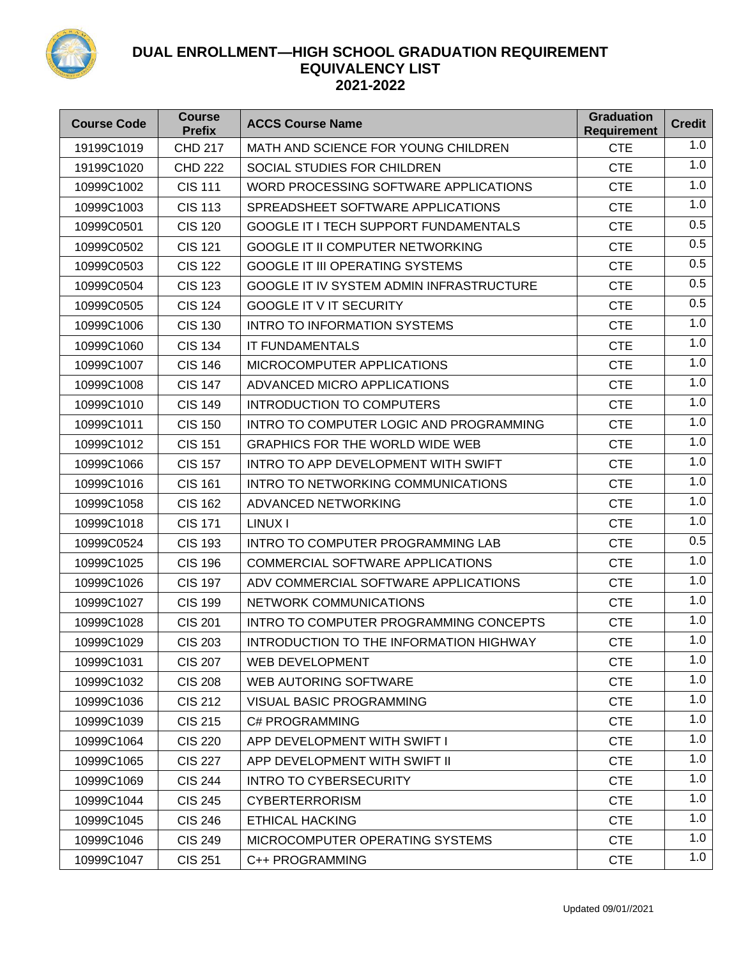

| <b>Course Code</b> | <b>Course</b><br><b>Prefix</b> | <b>ACCS Course Name</b>                      | <b>Graduation</b><br><b>Requirement</b> | <b>Credit</b> |
|--------------------|--------------------------------|----------------------------------------------|-----------------------------------------|---------------|
| 19199C1019         | <b>CHD 217</b>                 | MATH AND SCIENCE FOR YOUNG CHILDREN          | <b>CTE</b>                              | 1.0           |
| 19199C1020         | <b>CHD 222</b>                 | SOCIAL STUDIES FOR CHILDREN                  | <b>CTE</b>                              | 1.0           |
| 10999C1002         | <b>CIS 111</b>                 | WORD PROCESSING SOFTWARE APPLICATIONS        | <b>CTE</b>                              | 1.0           |
| 10999C1003         | <b>CIS 113</b>                 | SPREADSHEET SOFTWARE APPLICATIONS            | <b>CTE</b>                              | 1.0           |
| 10999C0501         | <b>CIS 120</b>                 | <b>GOOGLE IT I TECH SUPPORT FUNDAMENTALS</b> | <b>CTE</b>                              | 0.5           |
| 10999C0502         | <b>CIS 121</b>                 | <b>GOOGLE IT II COMPUTER NETWORKING</b>      | <b>CTE</b>                              | 0.5           |
| 10999C0503         | <b>CIS 122</b>                 | <b>GOOGLE IT III OPERATING SYSTEMS</b>       | <b>CTE</b>                              | 0.5           |
| 10999C0504         | <b>CIS 123</b>                 | GOOGLE IT IV SYSTEM ADMIN INFRASTRUCTURE     | <b>CTE</b>                              | 0.5           |
| 10999C0505         | <b>CIS 124</b>                 | <b>GOOGLE IT V IT SECURITY</b>               | <b>CTE</b>                              | 0.5           |
| 10999C1006         | <b>CIS 130</b>                 | <b>INTRO TO INFORMATION SYSTEMS</b>          | <b>CTE</b>                              | 1.0           |
| 10999C1060         | <b>CIS 134</b>                 | <b>IT FUNDAMENTALS</b>                       | <b>CTE</b>                              | 1.0           |
| 10999C1007         | <b>CIS 146</b>                 | MICROCOMPUTER APPLICATIONS                   | <b>CTE</b>                              | 1.0           |
| 10999C1008         | <b>CIS 147</b>                 | ADVANCED MICRO APPLICATIONS                  | <b>CTE</b>                              | 1.0           |
| 10999C1010         | <b>CIS 149</b>                 | <b>INTRODUCTION TO COMPUTERS</b>             | <b>CTE</b>                              | 1.0           |
| 10999C1011         | <b>CIS 150</b>                 | INTRO TO COMPUTER LOGIC AND PROGRAMMING      | <b>CTE</b>                              | 1.0           |
| 10999C1012         | <b>CIS 151</b>                 | <b>GRAPHICS FOR THE WORLD WIDE WEB</b>       | <b>CTE</b>                              | 1.0           |
| 10999C1066         | <b>CIS 157</b>                 | INTRO TO APP DEVELOPMENT WITH SWIFT          | <b>CTE</b>                              | 1.0           |
| 10999C1016         | <b>CIS 161</b>                 | INTRO TO NETWORKING COMMUNICATIONS           | <b>CTE</b>                              | 1.0           |
| 10999C1058         | <b>CIS 162</b>                 | ADVANCED NETWORKING                          | <b>CTE</b>                              | 1.0           |
| 10999C1018         | <b>CIS 171</b>                 | LINUX I                                      | <b>CTE</b>                              | 1.0           |
| 10999C0524         | <b>CIS 193</b>                 | INTRO TO COMPUTER PROGRAMMING LAB            | <b>CTE</b>                              | 0.5           |
| 10999C1025         | <b>CIS 196</b>                 | COMMERCIAL SOFTWARE APPLICATIONS             | <b>CTE</b>                              | 1.0           |
| 10999C1026         | <b>CIS 197</b>                 | ADV COMMERCIAL SOFTWARE APPLICATIONS         | <b>CTE</b>                              | 1.0           |
| 10999C1027         | <b>CIS 199</b>                 | NETWORK COMMUNICATIONS                       | <b>CTE</b>                              | 1.0           |
| 10999C1028         | <b>CIS 201</b>                 | INTRO TO COMPUTER PROGRAMMING CONCEPTS       | <b>CTE</b>                              | 1.0           |
| 10999C1029         | <b>CIS 203</b>                 | INTRODUCTION TO THE INFORMATION HIGHWAY      | <b>CTE</b>                              | 1.0           |
| 10999C1031         | <b>CIS 207</b>                 | <b>WEB DEVELOPMENT</b>                       | <b>CTE</b>                              | 1.0           |
| 10999C1032         | <b>CIS 208</b>                 | <b>WEB AUTORING SOFTWARE</b>                 | <b>CTE</b>                              | 1.0           |
| 10999C1036         | <b>CIS 212</b>                 | <b>VISUAL BASIC PROGRAMMING</b>              | <b>CTE</b>                              | 1.0           |
| 10999C1039         | <b>CIS 215</b>                 | C# PROGRAMMING                               | <b>CTE</b>                              | 1.0           |
| 10999C1064         | <b>CIS 220</b>                 | APP DEVELOPMENT WITH SWIFT I                 | <b>CTE</b>                              | 1.0           |
| 10999C1065         | <b>CIS 227</b>                 | APP DEVELOPMENT WITH SWIFT II                | <b>CTE</b>                              | 1.0           |
| 10999C1069         | <b>CIS 244</b>                 | <b>INTRO TO CYBERSECURITY</b>                | <b>CTE</b>                              | 1.0           |
| 10999C1044         | <b>CIS 245</b>                 | <b>CYBERTERRORISM</b>                        | <b>CTE</b>                              | 1.0           |
| 10999C1045         | <b>CIS 246</b>                 | <b>ETHICAL HACKING</b>                       | <b>CTE</b>                              | 1.0           |
| 10999C1046         | <b>CIS 249</b>                 | MICROCOMPUTER OPERATING SYSTEMS              | <b>CTE</b>                              | 1.0           |
| 10999C1047         | <b>CIS 251</b>                 | C++ PROGRAMMING                              | <b>CTE</b>                              | 1.0           |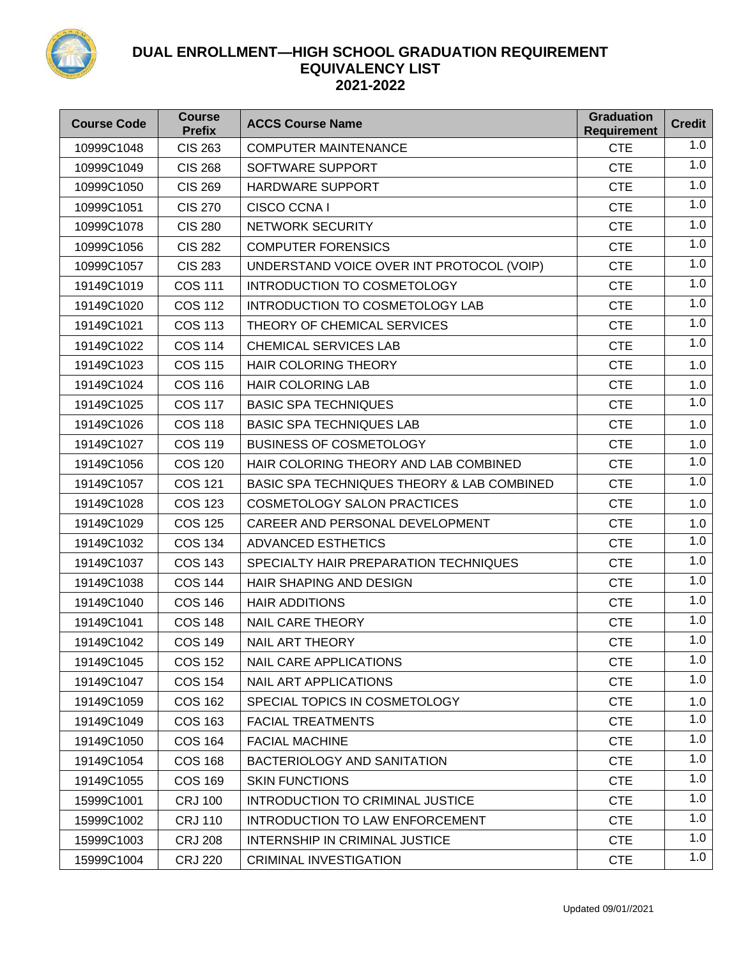

| <b>Course Code</b> | <b>Course</b><br><b>Prefix</b> | <b>ACCS Course Name</b>                    | <b>Graduation</b><br><b>Requirement</b> | <b>Credit</b> |
|--------------------|--------------------------------|--------------------------------------------|-----------------------------------------|---------------|
| 10999C1048         | <b>CIS 263</b>                 | <b>COMPUTER MAINTENANCE</b>                | <b>CTE</b>                              | 1.0           |
| 10999C1049         | <b>CIS 268</b>                 | SOFTWARE SUPPORT                           | <b>CTE</b>                              | 1.0           |
| 10999C1050         | <b>CIS 269</b>                 | HARDWARE SUPPORT                           | <b>CTE</b>                              | 1.0           |
| 10999C1051         | <b>CIS 270</b>                 | CISCO CCNA I                               | <b>CTE</b>                              | 1.0           |
| 10999C1078         | <b>CIS 280</b>                 | NETWORK SECURITY                           | <b>CTE</b>                              | 1.0           |
| 10999C1056         | <b>CIS 282</b>                 | <b>COMPUTER FORENSICS</b>                  | <b>CTE</b>                              | 1.0           |
| 10999C1057         | <b>CIS 283</b>                 | UNDERSTAND VOICE OVER INT PROTOCOL (VOIP)  | <b>CTE</b>                              | 1.0           |
| 19149C1019         | <b>COS 111</b>                 | INTRODUCTION TO COSMETOLOGY                | <b>CTE</b>                              | 1.0           |
| 19149C1020         | <b>COS 112</b>                 | INTRODUCTION TO COSMETOLOGY LAB            | <b>CTE</b>                              | 1.0           |
| 19149C1021         | <b>COS 113</b>                 | THEORY OF CHEMICAL SERVICES                | <b>CTE</b>                              | 1.0           |
| 19149C1022         | <b>COS 114</b>                 | <b>CHEMICAL SERVICES LAB</b>               | <b>CTE</b>                              | 1.0           |
| 19149C1023         | <b>COS 115</b>                 | <b>HAIR COLORING THEORY</b>                | <b>CTE</b>                              | 1.0           |
| 19149C1024         | <b>COS 116</b>                 | <b>HAIR COLORING LAB</b>                   | <b>CTE</b>                              | 1.0           |
| 19149C1025         | <b>COS 117</b>                 | <b>BASIC SPA TECHNIQUES</b>                | <b>CTE</b>                              | 1.0           |
| 19149C1026         | <b>COS 118</b>                 | <b>BASIC SPA TECHNIQUES LAB</b>            | <b>CTE</b>                              | 1.0           |
| 19149C1027         | <b>COS 119</b>                 | <b>BUSINESS OF COSMETOLOGY</b>             | <b>CTE</b>                              | 1.0           |
| 19149C1056         | <b>COS 120</b>                 | HAIR COLORING THEORY AND LAB COMBINED      | <b>CTE</b>                              | 1.0           |
| 19149C1057         | <b>COS 121</b>                 | BASIC SPA TECHNIQUES THEORY & LAB COMBINED | <b>CTE</b>                              | 1.0           |
| 19149C1028         | <b>COS 123</b>                 | <b>COSMETOLOGY SALON PRACTICES</b>         | <b>CTE</b>                              | 1.0           |
| 19149C1029         | <b>COS 125</b>                 | CAREER AND PERSONAL DEVELOPMENT            | <b>CTE</b>                              | 1.0           |
| 19149C1032         | <b>COS 134</b>                 | <b>ADVANCED ESTHETICS</b>                  | <b>CTE</b>                              | 1.0           |
| 19149C1037         | <b>COS 143</b>                 | SPECIALTY HAIR PREPARATION TECHNIQUES      | <b>CTE</b>                              | 1.0           |
| 19149C1038         | <b>COS 144</b>                 | <b>HAIR SHAPING AND DESIGN</b>             | <b>CTE</b>                              | 1.0           |
| 19149C1040         | <b>COS 146</b>                 | <b>HAIR ADDITIONS</b>                      | <b>CTE</b>                              | 1.0           |
| 19149C1041         | <b>COS 148</b>                 | <b>NAIL CARE THEORY</b>                    | <b>CTE</b>                              | 1.0           |
| 19149C1042         | <b>COS 149</b>                 | <b>NAIL ART THEORY</b>                     | <b>CTE</b>                              | 1.0           |
| 19149C1045         | <b>COS 152</b>                 | <b>NAIL CARE APPLICATIONS</b>              | <b>CTE</b>                              | 1.0           |
| 19149C1047         | <b>COS 154</b>                 | <b>NAIL ART APPLICATIONS</b>               | <b>CTE</b>                              | 1.0           |
| 19149C1059         | <b>COS 162</b>                 | SPECIAL TOPICS IN COSMETOLOGY              | <b>CTE</b>                              | 1.0           |
| 19149C1049         | <b>COS 163</b>                 | <b>FACIAL TREATMENTS</b>                   | <b>CTE</b>                              | 1.0           |
| 19149C1050         | <b>COS 164</b>                 | <b>FACIAL MACHINE</b>                      | <b>CTE</b>                              | 1.0           |
| 19149C1054         | <b>COS 168</b>                 | BACTERIOLOGY AND SANITATION                | <b>CTE</b>                              | 1.0           |
| 19149C1055         | <b>COS 169</b>                 | <b>SKIN FUNCTIONS</b>                      | <b>CTE</b>                              | 1.0           |
| 15999C1001         | <b>CRJ 100</b>                 | <b>INTRODUCTION TO CRIMINAL JUSTICE</b>    | <b>CTE</b>                              | 1.0           |
| 15999C1002         | <b>CRJ 110</b>                 | INTRODUCTION TO LAW ENFORCEMENT            | <b>CTE</b>                              | 1.0           |
| 15999C1003         | <b>CRJ 208</b>                 | INTERNSHIP IN CRIMINAL JUSTICE             | <b>CTE</b>                              | 1.0           |
| 15999C1004         | <b>CRJ 220</b>                 | <b>CRIMINAL INVESTIGATION</b>              | <b>CTE</b>                              | 1.0           |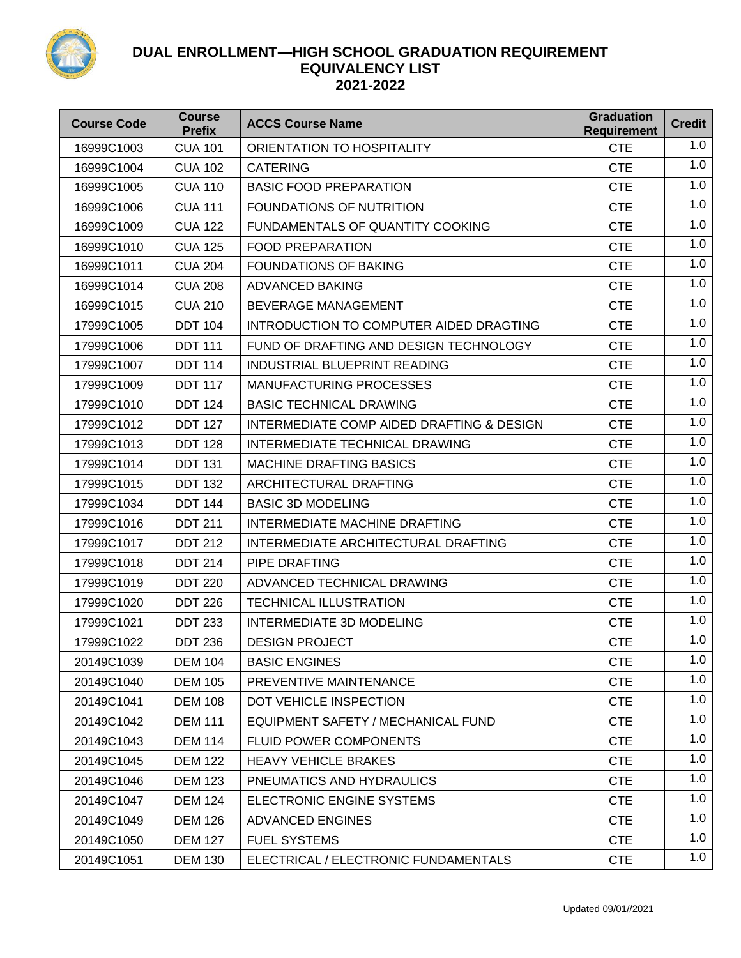

| <b>Course Code</b> | <b>Course</b><br><b>Prefix</b> | <b>ACCS Course Name</b>                   | <b>Graduation</b><br><b>Requirement</b> | <b>Credit</b> |
|--------------------|--------------------------------|-------------------------------------------|-----------------------------------------|---------------|
| 16999C1003         | <b>CUA 101</b>                 | ORIENTATION TO HOSPITALITY                | <b>CTE</b>                              | 1.0           |
| 16999C1004         | <b>CUA 102</b>                 | <b>CATERING</b>                           | <b>CTE</b>                              | 1.0           |
| 16999C1005         | <b>CUA 110</b>                 | <b>BASIC FOOD PREPARATION</b>             | <b>CTE</b>                              | 1.0           |
| 16999C1006         | <b>CUA 111</b>                 | FOUNDATIONS OF NUTRITION                  | <b>CTE</b>                              | 1.0           |
| 16999C1009         | <b>CUA 122</b>                 | FUNDAMENTALS OF QUANTITY COOKING          | <b>CTE</b>                              | 1.0           |
| 16999C1010         | <b>CUA 125</b>                 | <b>FOOD PREPARATION</b>                   | <b>CTE</b>                              | 1.0           |
| 16999C1011         | <b>CUA 204</b>                 | <b>FOUNDATIONS OF BAKING</b>              | <b>CTE</b>                              | 1.0           |
| 16999C1014         | <b>CUA 208</b>                 | <b>ADVANCED BAKING</b>                    | <b>CTE</b>                              | 1.0           |
| 16999C1015         | <b>CUA 210</b>                 | BEVERAGE MANAGEMENT                       | <b>CTE</b>                              | 1.0           |
| 17999C1005         | <b>DDT 104</b>                 | INTRODUCTION TO COMPUTER AIDED DRAGTING   | <b>CTE</b>                              | 1.0           |
| 17999C1006         | <b>DDT 111</b>                 | FUND OF DRAFTING AND DESIGN TECHNOLOGY    | <b>CTE</b>                              | 1.0           |
| 17999C1007         | <b>DDT 114</b>                 | <b>INDUSTRIAL BLUEPRINT READING</b>       | <b>CTE</b>                              | 1.0           |
| 17999C1009         | <b>DDT 117</b>                 | <b>MANUFACTURING PROCESSES</b>            | <b>CTE</b>                              | 1.0           |
| 17999C1010         | <b>DDT 124</b>                 | <b>BASIC TECHNICAL DRAWING</b>            | <b>CTE</b>                              | 1.0           |
| 17999C1012         | <b>DDT 127</b>                 | INTERMEDIATE COMP AIDED DRAFTING & DESIGN | <b>CTE</b>                              | 1.0           |
| 17999C1013         | <b>DDT 128</b>                 | INTERMEDIATE TECHNICAL DRAWING            | <b>CTE</b>                              | 1.0           |
| 17999C1014         | <b>DDT 131</b>                 | <b>MACHINE DRAFTING BASICS</b>            | <b>CTE</b>                              | 1.0           |
| 17999C1015         | <b>DDT 132</b>                 | ARCHITECTURAL DRAFTING                    | <b>CTE</b>                              | 1.0           |
| 17999C1034         | <b>DDT 144</b>                 | <b>BASIC 3D MODELING</b>                  | <b>CTE</b>                              | 1.0           |
| 17999C1016         | <b>DDT 211</b>                 | INTERMEDIATE MACHINE DRAFTING             | <b>CTE</b>                              | 1.0           |
| 17999C1017         | <b>DDT 212</b>                 | INTERMEDIATE ARCHITECTURAL DRAFTING       | <b>CTE</b>                              | 1.0           |
| 17999C1018         | <b>DDT 214</b>                 | PIPE DRAFTING                             | <b>CTE</b>                              | 1.0           |
| 17999C1019         | <b>DDT 220</b>                 | ADVANCED TECHNICAL DRAWING                | <b>CTE</b>                              | 1.0           |
| 17999C1020         | <b>DDT 226</b>                 | <b>TECHNICAL ILLUSTRATION</b>             | <b>CTE</b>                              | 1.0           |
| 17999C1021         | <b>DDT 233</b>                 | INTERMEDIATE 3D MODELING                  | <b>CTE</b>                              | 1.0           |
| 17999C1022         | <b>DDT 236</b>                 | <b>DESIGN PROJECT</b>                     | <b>CTE</b>                              | 1.0           |
| 20149C1039         | <b>DEM 104</b>                 | <b>BASIC ENGINES</b>                      | <b>CTE</b>                              | 1.0           |
| 20149C1040         | <b>DEM 105</b>                 | PREVENTIVE MAINTENANCE                    | <b>CTE</b>                              | 1.0           |
| 20149C1041         | <b>DEM 108</b>                 | DOT VEHICLE INSPECTION                    | <b>CTE</b>                              | 1.0           |
| 20149C1042         | <b>DEM 111</b>                 | EQUIPMENT SAFETY / MECHANICAL FUND        | <b>CTE</b>                              | 1.0           |
| 20149C1043         | <b>DEM 114</b>                 | <b>FLUID POWER COMPONENTS</b>             | <b>CTE</b>                              | 1.0           |
| 20149C1045         | <b>DEM 122</b>                 | <b>HEAVY VEHICLE BRAKES</b>               | <b>CTE</b>                              | 1.0           |
| 20149C1046         | <b>DEM 123</b>                 | PNEUMATICS AND HYDRAULICS                 | <b>CTE</b>                              | 1.0           |
| 20149C1047         | <b>DEM 124</b>                 | ELECTRONIC ENGINE SYSTEMS                 | <b>CTE</b>                              | 1.0           |
| 20149C1049         | <b>DEM 126</b>                 | <b>ADVANCED ENGINES</b>                   | <b>CTE</b>                              | 1.0           |
| 20149C1050         | <b>DEM 127</b>                 | <b>FUEL SYSTEMS</b>                       | <b>CTE</b>                              | 1.0           |
| 20149C1051         | <b>DEM 130</b>                 | ELECTRICAL / ELECTRONIC FUNDAMENTALS      | <b>CTE</b>                              | 1.0           |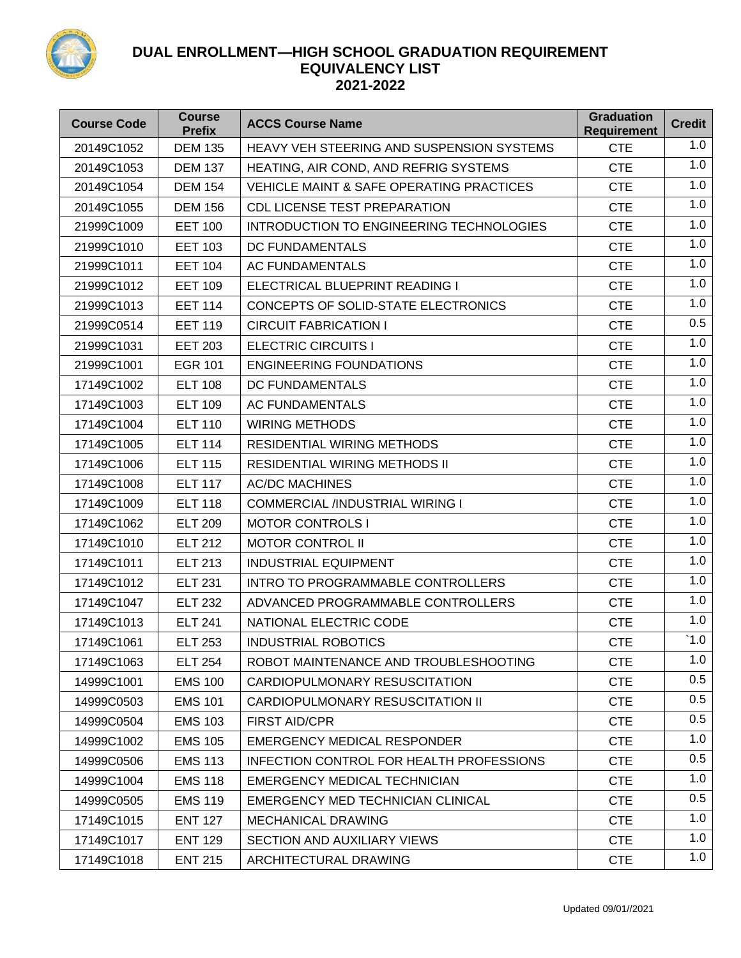

| <b>Course Code</b> | <b>Course</b><br><b>Prefix</b> | <b>ACCS Course Name</b>                             | <b>Graduation</b><br><b>Requirement</b> | <b>Credit</b> |
|--------------------|--------------------------------|-----------------------------------------------------|-----------------------------------------|---------------|
| 20149C1052         | <b>DEM 135</b>                 | <b>HEAVY VEH STEERING AND SUSPENSION SYSTEMS</b>    | <b>CTE</b>                              | 1.0           |
| 20149C1053         | <b>DEM 137</b>                 | HEATING, AIR COND, AND REFRIG SYSTEMS               | <b>CTE</b>                              | 1.0           |
| 20149C1054         | <b>DEM 154</b>                 | <b>VEHICLE MAINT &amp; SAFE OPERATING PRACTICES</b> | <b>CTE</b>                              | 1.0           |
| 20149C1055         | <b>DEM 156</b>                 | <b>CDL LICENSE TEST PREPARATION</b>                 | <b>CTE</b>                              | 1.0           |
| 21999C1009         | <b>EET 100</b>                 | INTRODUCTION TO ENGINEERING TECHNOLOGIES            | <b>CTE</b>                              | 1.0           |
| 21999C1010         | <b>EET 103</b>                 | <b>DC FUNDAMENTALS</b>                              | <b>CTE</b>                              | 1.0           |
| 21999C1011         | <b>EET 104</b>                 | <b>AC FUNDAMENTALS</b>                              | <b>CTE</b>                              | 1.0           |
| 21999C1012         | <b>EET 109</b>                 | ELECTRICAL BLUEPRINT READING I                      | <b>CTE</b>                              | 1.0           |
| 21999C1013         | <b>EET 114</b>                 | CONCEPTS OF SOLID-STATE ELECTRONICS                 | <b>CTE</b>                              | 1.0           |
| 21999C0514         | <b>EET 119</b>                 | <b>CIRCUIT FABRICATION I</b>                        | <b>CTE</b>                              | 0.5           |
| 21999C1031         | <b>EET 203</b>                 | <b>ELECTRIC CIRCUITS I</b>                          | <b>CTE</b>                              | 1.0           |
| 21999C1001         | <b>EGR 101</b>                 | <b>ENGINEERING FOUNDATIONS</b>                      | <b>CTE</b>                              | 1.0           |
| 17149C1002         | <b>ELT 108</b>                 | <b>DC FUNDAMENTALS</b>                              | <b>CTE</b>                              | 1.0           |
| 17149C1003         | <b>ELT 109</b>                 | <b>AC FUNDAMENTALS</b>                              | <b>CTE</b>                              | 1.0           |
| 17149C1004         | <b>ELT 110</b>                 | <b>WIRING METHODS</b>                               | <b>CTE</b>                              | 1.0           |
| 17149C1005         | <b>ELT 114</b>                 | <b>RESIDENTIAL WIRING METHODS</b>                   | <b>CTE</b>                              | 1.0           |
| 17149C1006         | <b>ELT 115</b>                 | <b>RESIDENTIAL WIRING METHODS II</b>                | <b>CTE</b>                              | 1.0           |
| 17149C1008         | <b>ELT 117</b>                 | <b>AC/DC MACHINES</b>                               | <b>CTE</b>                              | 1.0           |
| 17149C1009         | <b>ELT 118</b>                 | <b>COMMERCIAL /INDUSTRIAL WIRING I</b>              | <b>CTE</b>                              | 1.0           |
| 17149C1062         | <b>ELT 209</b>                 | <b>MOTOR CONTROLS I</b>                             | <b>CTE</b>                              | 1.0           |
| 17149C1010         | <b>ELT 212</b>                 | <b>MOTOR CONTROL II</b>                             | <b>CTE</b>                              | 1.0           |
| 17149C1011         | <b>ELT 213</b>                 | <b>INDUSTRIAL EQUIPMENT</b>                         | <b>CTE</b>                              | 1.0           |
| 17149C1012         | <b>ELT 231</b>                 | <b>INTRO TO PROGRAMMABLE CONTROLLERS</b>            | <b>CTE</b>                              | 1.0           |
| 17149C1047         | <b>ELT 232</b>                 | ADVANCED PROGRAMMABLE CONTROLLERS                   | <b>CTE</b>                              | 1.0           |
| 17149C1013         | <b>ELT 241</b>                 | NATIONAL ELECTRIC CODE                              | <b>CTE</b>                              | 1.0           |
| 17149C1061         | <b>ELT 253</b>                 | <b>INDUSTRIAL ROBOTICS</b>                          | <b>CTE</b>                              | $^{\circ}1.0$ |
| 17149C1063         | <b>ELT 254</b>                 | ROBOT MAINTENANCE AND TROUBLESHOOTING               | <b>CTE</b>                              | 1.0           |
| 14999C1001         | <b>EMS 100</b>                 | CARDIOPULMONARY RESUSCITATION                       | <b>CTE</b>                              | 0.5           |
| 14999C0503         | <b>EMS 101</b>                 | CARDIOPULMONARY RESUSCITATION II                    | <b>CTE</b>                              | 0.5           |
| 14999C0504         | <b>EMS 103</b>                 | <b>FIRST AID/CPR</b>                                | <b>CTE</b>                              | 0.5           |
| 14999C1002         | <b>EMS 105</b>                 | <b>EMERGENCY MEDICAL RESPONDER</b>                  | <b>CTE</b>                              | 1.0           |
| 14999C0506         | <b>EMS 113</b>                 | INFECTION CONTROL FOR HEALTH PROFESSIONS            | <b>CTE</b>                              | 0.5           |
| 14999C1004         | <b>EMS 118</b>                 | <b>EMERGENCY MEDICAL TECHNICIAN</b>                 | <b>CTE</b>                              | 1.0           |
| 14999C0505         | <b>EMS 119</b>                 | EMERGENCY MED TECHNICIAN CLINICAL                   | <b>CTE</b>                              | 0.5           |
| 17149C1015         | <b>ENT 127</b>                 | <b>MECHANICAL DRAWING</b>                           | <b>CTE</b>                              | 1.0           |
| 17149C1017         | <b>ENT 129</b>                 | <b>SECTION AND AUXILIARY VIEWS</b>                  | <b>CTE</b>                              | 1.0           |
| 17149C1018         | <b>ENT 215</b>                 | ARCHITECTURAL DRAWING                               | <b>CTE</b>                              | 1.0           |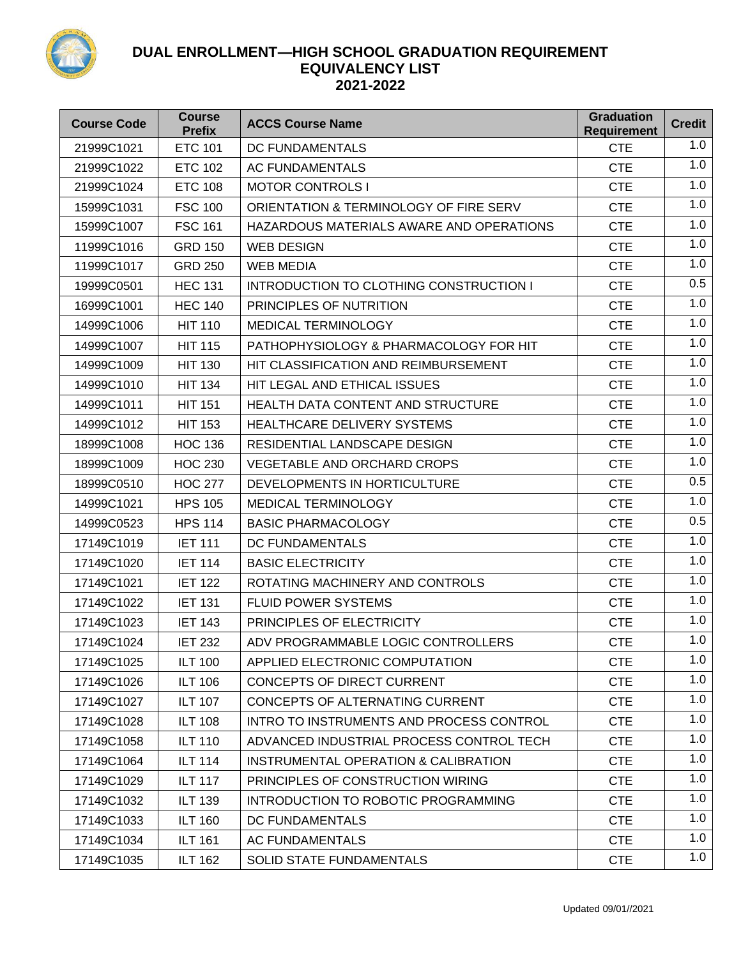

| <b>Course Code</b> | <b>Course</b><br><b>Prefix</b> | <b>ACCS Course Name</b>                         | <b>Graduation</b><br><b>Requirement</b> | <b>Credit</b> |
|--------------------|--------------------------------|-------------------------------------------------|-----------------------------------------|---------------|
| 21999C1021         | <b>ETC 101</b>                 | <b>DC FUNDAMENTALS</b>                          | <b>CTE</b>                              | 1.0           |
| 21999C1022         | <b>ETC 102</b>                 | AC FUNDAMENTALS                                 | <b>CTE</b>                              | 1.0           |
| 21999C1024         | <b>ETC 108</b>                 | <b>MOTOR CONTROLS I</b>                         | <b>CTE</b>                              | 1.0           |
| 15999C1031         | <b>FSC 100</b>                 | ORIENTATION & TERMINOLOGY OF FIRE SERV          | <b>CTE</b>                              | 1.0           |
| 15999C1007         | <b>FSC 161</b>                 | HAZARDOUS MATERIALS AWARE AND OPERATIONS        | <b>CTE</b>                              | 1.0           |
| 11999C1016         | <b>GRD 150</b>                 | <b>WEB DESIGN</b>                               | <b>CTE</b>                              | 1.0           |
| 11999C1017         | <b>GRD 250</b>                 | <b>WEB MEDIA</b>                                | <b>CTE</b>                              | 1.0           |
| 19999C0501         | <b>HEC 131</b>                 | INTRODUCTION TO CLOTHING CONSTRUCTION I         | <b>CTE</b>                              | 0.5           |
| 16999C1001         | <b>HEC 140</b>                 | PRINCIPLES OF NUTRITION                         | <b>CTE</b>                              | 1.0           |
| 14999C1006         | <b>HIT 110</b>                 | MEDICAL TERMINOLOGY                             | <b>CTE</b>                              | 1.0           |
| 14999C1007         | <b>HIT 115</b>                 | PATHOPHYSIOLOGY & PHARMACOLOGY FOR HIT          | <b>CTE</b>                              | 1.0           |
| 14999C1009         | <b>HIT 130</b>                 | HIT CLASSIFICATION AND REIMBURSEMENT            | <b>CTE</b>                              | 1.0           |
| 14999C1010         | <b>HIT 134</b>                 | HIT LEGAL AND ETHICAL ISSUES                    | <b>CTE</b>                              | 1.0           |
| 14999C1011         | <b>HIT 151</b>                 | HEALTH DATA CONTENT AND STRUCTURE               | <b>CTE</b>                              | 1.0           |
| 14999C1012         | <b>HIT 153</b>                 | <b>HEALTHCARE DELIVERY SYSTEMS</b>              | <b>CTE</b>                              | 1.0           |
| 18999C1008         | <b>HOC 136</b>                 | RESIDENTIAL LANDSCAPE DESIGN                    | <b>CTE</b>                              | 1.0           |
| 18999C1009         | <b>HOC 230</b>                 | <b>VEGETABLE AND ORCHARD CROPS</b>              | <b>CTE</b>                              | 1.0           |
| 18999C0510         | <b>HOC 277</b>                 | DEVELOPMENTS IN HORTICULTURE                    | <b>CTE</b>                              | 0.5           |
| 14999C1021         | <b>HPS 105</b>                 | <b>MEDICAL TERMINOLOGY</b>                      | <b>CTE</b>                              | 1.0           |
| 14999C0523         | <b>HPS 114</b>                 | <b>BASIC PHARMACOLOGY</b>                       | <b>CTE</b>                              | 0.5           |
| 17149C1019         | <b>IET 111</b>                 | DC FUNDAMENTALS                                 | <b>CTE</b>                              | 1.0           |
| 17149C1020         | <b>IET 114</b>                 | <b>BASIC ELECTRICITY</b>                        | <b>CTE</b>                              | 1.0           |
| 17149C1021         | <b>IET 122</b>                 | ROTATING MACHINERY AND CONTROLS                 | <b>CTE</b>                              | 1.0           |
| 17149C1022         | <b>IET 131</b>                 | <b>FLUID POWER SYSTEMS</b>                      | <b>CTE</b>                              | 1.0           |
| 17149C1023         | <b>IET 143</b>                 | PRINCIPLES OF ELECTRICITY                       | <b>CTE</b>                              | 1.0           |
| 17149C1024         | <b>IET 232</b>                 | ADV PROGRAMMABLE LOGIC CONTROLLERS              | <b>CTE</b>                              | 1.0           |
| 17149C1025         | <b>ILT 100</b>                 | APPLIED ELECTRONIC COMPUTATION                  | <b>CTE</b>                              | 1.0           |
| 17149C1026         | <b>ILT 106</b>                 | <b>CONCEPTS OF DIRECT CURRENT</b>               | <b>CTE</b>                              | 1.0           |
| 17149C1027         | <b>ILT 107</b>                 | CONCEPTS OF ALTERNATING CURRENT                 | <b>CTE</b>                              | 1.0           |
| 17149C1028         | <b>ILT 108</b>                 | INTRO TO INSTRUMENTS AND PROCESS CONTROL        | <b>CTE</b>                              | 1.0           |
| 17149C1058         | <b>ILT 110</b>                 | ADVANCED INDUSTRIAL PROCESS CONTROL TECH        | <b>CTE</b>                              | 1.0           |
| 17149C1064         | <b>ILT 114</b>                 | <b>INSTRUMENTAL OPERATION &amp; CALIBRATION</b> | <b>CTE</b>                              | 1.0           |
| 17149C1029         | <b>ILT 117</b>                 | PRINCIPLES OF CONSTRUCTION WIRING               | <b>CTE</b>                              | 1.0           |
| 17149C1032         | <b>ILT 139</b>                 | INTRODUCTION TO ROBOTIC PROGRAMMING             | <b>CTE</b>                              | 1.0           |
| 17149C1033         | <b>ILT 160</b>                 | DC FUNDAMENTALS                                 | <b>CTE</b>                              | 1.0           |
| 17149C1034         | <b>ILT 161</b>                 | <b>AC FUNDAMENTALS</b>                          | <b>CTE</b>                              | 1.0           |
| 17149C1035         | <b>ILT 162</b>                 | <b>SOLID STATE FUNDAMENTALS</b>                 | <b>CTE</b>                              | 1.0           |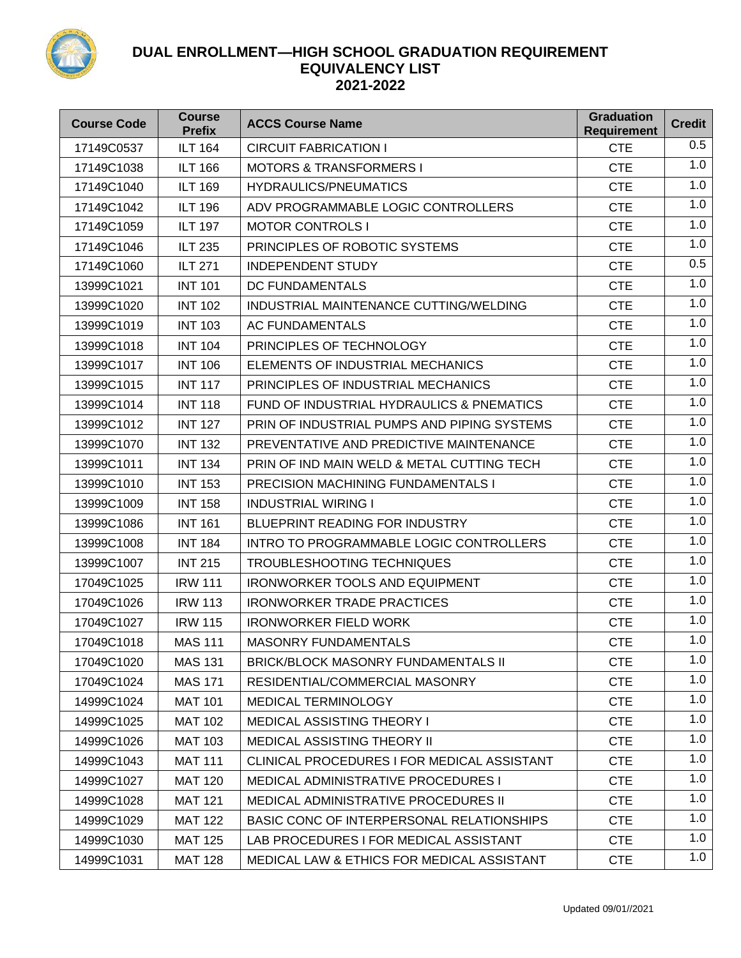

| <b>Course Code</b> | <b>Course</b><br><b>Prefix</b> | <b>ACCS Course Name</b>                               | <b>Graduation</b><br><b>Requirement</b> | <b>Credit</b> |
|--------------------|--------------------------------|-------------------------------------------------------|-----------------------------------------|---------------|
| 17149C0537         | <b>ILT 164</b>                 | <b>CIRCUIT FABRICATION I</b>                          | <b>CTE</b>                              | 0.5           |
| 17149C1038         | <b>ILT 166</b>                 | <b>MOTORS &amp; TRANSFORMERS I</b>                    | <b>CTE</b>                              | 1.0           |
| 17149C1040         | <b>ILT 169</b>                 | <b>HYDRAULICS/PNEUMATICS</b>                          | <b>CTE</b>                              | 1.0           |
| 17149C1042         | <b>ILT 196</b>                 | ADV PROGRAMMABLE LOGIC CONTROLLERS                    | <b>CTE</b>                              | 1.0           |
| 17149C1059         | <b>ILT 197</b>                 | <b>MOTOR CONTROLS I</b>                               | <b>CTE</b>                              | 1.0           |
| 17149C1046         | <b>ILT 235</b>                 | PRINCIPLES OF ROBOTIC SYSTEMS                         | <b>CTE</b>                              | 1.0           |
| 17149C1060         | <b>ILT 271</b>                 | <b>INDEPENDENT STUDY</b>                              | <b>CTE</b>                              | 0.5           |
| 13999C1021         | <b>INT 101</b>                 | DC FUNDAMENTALS                                       | <b>CTE</b>                              | 1.0           |
| 13999C1020         | <b>INT 102</b>                 | INDUSTRIAL MAINTENANCE CUTTING/WELDING                | <b>CTE</b>                              | 1.0           |
| 13999C1019         | <b>INT 103</b>                 | <b>AC FUNDAMENTALS</b>                                | <b>CTE</b>                              | 1.0           |
| 13999C1018         | <b>INT 104</b>                 | PRINCIPLES OF TECHNOLOGY                              | <b>CTE</b>                              | 1.0           |
| 13999C1017         | <b>INT 106</b>                 | ELEMENTS OF INDUSTRIAL MECHANICS                      | <b>CTE</b>                              | 1.0           |
| 13999C1015         | <b>INT 117</b>                 | PRINCIPLES OF INDUSTRIAL MECHANICS                    | <b>CTE</b>                              | 1.0           |
| 13999C1014         | <b>INT 118</b>                 | FUND OF INDUSTRIAL HYDRAULICS & PNEMATICS             | <b>CTE</b>                              | 1.0           |
| 13999C1012         | <b>INT 127</b>                 | PRIN OF INDUSTRIAL PUMPS AND PIPING SYSTEMS           | <b>CTE</b>                              | 1.0           |
| 13999C1070         | <b>INT 132</b>                 | PREVENTATIVE AND PREDICTIVE MAINTENANCE               | <b>CTE</b>                              | 1.0           |
| 13999C1011         | <b>INT 134</b>                 | PRIN OF IND MAIN WELD & METAL CUTTING TECH            | <b>CTE</b>                              | 1.0           |
| 13999C1010         | <b>INT 153</b>                 | <b>PRECISION MACHINING FUNDAMENTALS I</b>             | <b>CTE</b>                              | 1.0           |
| 13999C1009         | <b>INT 158</b>                 | <b>INDUSTRIAL WIRING I</b>                            | <b>CTE</b>                              | 1.0           |
| 13999C1086         | <b>INT 161</b>                 | <b>BLUEPRINT READING FOR INDUSTRY</b>                 | <b>CTE</b>                              | 1.0           |
| 13999C1008         | <b>INT 184</b>                 | INTRO TO PROGRAMMABLE LOGIC CONTROLLERS               | <b>CTE</b>                              | 1.0           |
| 13999C1007         | <b>INT 215</b>                 | <b>TROUBLESHOOTING TECHNIQUES</b>                     | <b>CTE</b>                              | 1.0           |
| 17049C1025         | <b>IRW 111</b>                 | <b>IRONWORKER TOOLS AND EQUIPMENT</b>                 | <b>CTE</b>                              | 1.0           |
| 17049C1026         | <b>IRW 113</b>                 | <b>IRONWORKER TRADE PRACTICES</b>                     | <b>CTE</b>                              | 1.0           |
| 17049C1027         | <b>IRW 115</b>                 | <b>IRONWORKER FIELD WORK</b>                          | <b>CTE</b>                              | 1.0           |
| 17049C1018         | <b>MAS 111</b>                 | <b>MASONRY FUNDAMENTALS</b>                           | <b>CTE</b>                              | 1.0           |
| 17049C1020         | <b>MAS 131</b>                 | <b>BRICK/BLOCK MASONRY FUNDAMENTALS II</b>            | <b>CTE</b>                              | 1.0           |
| 17049C1024         | <b>MAS 171</b>                 | RESIDENTIAL/COMMERCIAL MASONRY                        | <b>CTE</b>                              | 1.0           |
| 14999C1024         | <b>MAT 101</b>                 | <b>MEDICAL TERMINOLOGY</b>                            | <b>CTE</b>                              | 1.0           |
| 14999C1025         | <b>MAT 102</b>                 | <b>MEDICAL ASSISTING THEORY I</b>                     | <b>CTE</b>                              | 1.0           |
| 14999C1026         | <b>MAT 103</b>                 | <b>MEDICAL ASSISTING THEORY II</b>                    | <b>CTE</b>                              | 1.0           |
| 14999C1043         | <b>MAT 111</b>                 | CLINICAL PROCEDURES I FOR MEDICAL ASSISTANT           | <b>CTE</b>                              | 1.0           |
| 14999C1027         | <b>MAT 120</b>                 | <b>MEDICAL ADMINISTRATIVE PROCEDURES I</b>            | <b>CTE</b>                              | 1.0           |
| 14999C1028         | <b>MAT 121</b>                 | MEDICAL ADMINISTRATIVE PROCEDURES II                  | <b>CTE</b>                              | 1.0           |
| 14999C1029         | <b>MAT 122</b>                 | BASIC CONC OF INTERPERSONAL RELATIONSHIPS             | <b>CTE</b>                              | 1.0           |
| 14999C1030         | <b>MAT 125</b>                 | LAB PROCEDURES I FOR MEDICAL ASSISTANT                | <b>CTE</b>                              | 1.0           |
| 14999C1031         | <b>MAT 128</b>                 | <b>MEDICAL LAW &amp; ETHICS FOR MEDICAL ASSISTANT</b> | <b>CTE</b>                              | 1.0           |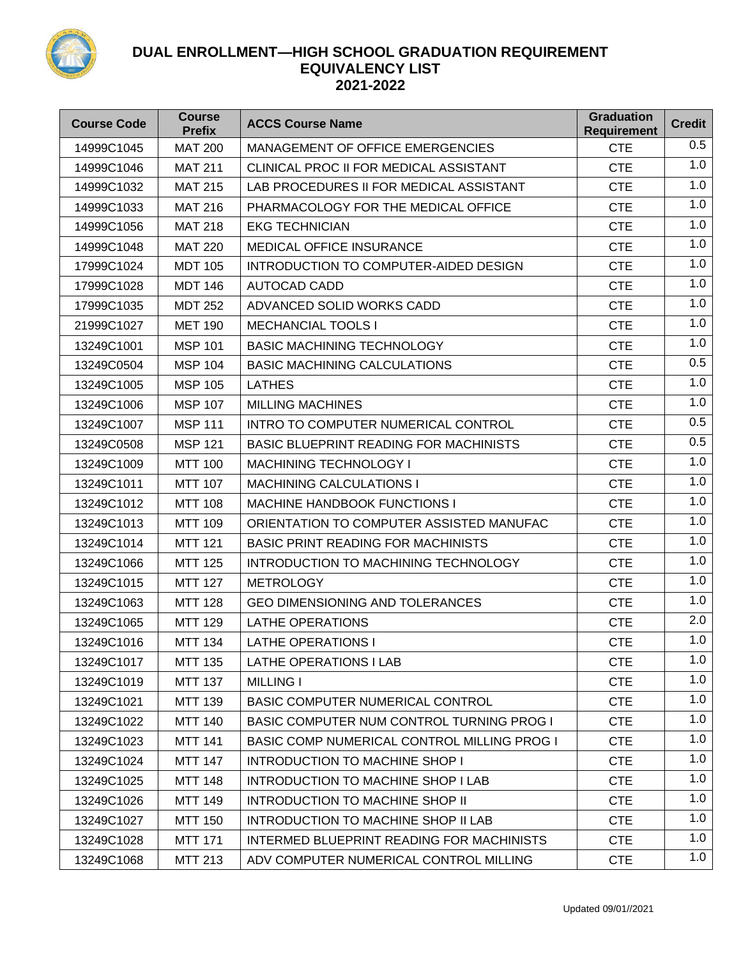

| <b>Course Code</b> | <b>Course</b><br><b>Prefix</b> | <b>ACCS Course Name</b>                       | <b>Graduation</b><br><b>Requirement</b> | <b>Credit</b> |
|--------------------|--------------------------------|-----------------------------------------------|-----------------------------------------|---------------|
| 14999C1045         | <b>MAT 200</b>                 | <b>MANAGEMENT OF OFFICE EMERGENCIES</b>       | <b>CTE</b>                              | 0.5           |
| 14999C1046         | <b>MAT 211</b>                 | CLINICAL PROC II FOR MEDICAL ASSISTANT        | <b>CTE</b>                              | 1.0           |
| 14999C1032         | <b>MAT 215</b>                 | LAB PROCEDURES II FOR MEDICAL ASSISTANT       | <b>CTE</b>                              | 1.0           |
| 14999C1033         | <b>MAT 216</b>                 | PHARMACOLOGY FOR THE MEDICAL OFFICE           | <b>CTE</b>                              | 1.0           |
| 14999C1056         | <b>MAT 218</b>                 | <b>EKG TECHNICIAN</b>                         | <b>CTE</b>                              | 1.0           |
| 14999C1048         | <b>MAT 220</b>                 | <b>MEDICAL OFFICE INSURANCE</b>               | <b>CTE</b>                              | 1.0           |
| 17999C1024         | <b>MDT 105</b>                 | INTRODUCTION TO COMPUTER-AIDED DESIGN         | <b>CTE</b>                              | 1.0           |
| 17999C1028         | <b>MDT 146</b>                 | <b>AUTOCAD CADD</b>                           | <b>CTE</b>                              | 1.0           |
| 17999C1035         | <b>MDT 252</b>                 | ADVANCED SOLID WORKS CADD                     | <b>CTE</b>                              | 1.0           |
| 21999C1027         | <b>MET 190</b>                 | <b>MECHANCIAL TOOLS I</b>                     | <b>CTE</b>                              | 1.0           |
| 13249C1001         | <b>MSP 101</b>                 | <b>BASIC MACHINING TECHNOLOGY</b>             | <b>CTE</b>                              | 1.0           |
| 13249C0504         | <b>MSP 104</b>                 | <b>BASIC MACHINING CALCULATIONS</b>           | <b>CTE</b>                              | 0.5           |
| 13249C1005         | <b>MSP 105</b>                 | <b>LATHES</b>                                 | <b>CTE</b>                              | 1.0           |
| 13249C1006         | <b>MSP 107</b>                 | <b>MILLING MACHINES</b>                       | <b>CTE</b>                              | 1.0           |
| 13249C1007         | <b>MSP 111</b>                 | INTRO TO COMPUTER NUMERICAL CONTROL           | <b>CTE</b>                              | 0.5           |
| 13249C0508         | <b>MSP 121</b>                 | <b>BASIC BLUEPRINT READING FOR MACHINISTS</b> | <b>CTE</b>                              | 0.5           |
| 13249C1009         | <b>MTT 100</b>                 | <b>MACHINING TECHNOLOGY I</b>                 | <b>CTE</b>                              | 1.0           |
| 13249C1011         | <b>MTT 107</b>                 | <b>MACHINING CALCULATIONS I</b>               | <b>CTE</b>                              | 1.0           |
| 13249C1012         | <b>MTT 108</b>                 | <b>MACHINE HANDBOOK FUNCTIONS I</b>           | <b>CTE</b>                              | 1.0           |
| 13249C1013         | <b>MTT 109</b>                 | ORIENTATION TO COMPUTER ASSISTED MANUFAC      | <b>CTE</b>                              | 1.0           |
| 13249C1014         | <b>MTT 121</b>                 | <b>BASIC PRINT READING FOR MACHINISTS</b>     | <b>CTE</b>                              | 1.0           |
| 13249C1066         | <b>MTT 125</b>                 | INTRODUCTION TO MACHINING TECHNOLOGY          | <b>CTE</b>                              | 1.0           |
| 13249C1015         | <b>MTT 127</b>                 | <b>METROLOGY</b>                              | <b>CTE</b>                              | 1.0           |
| 13249C1063         | <b>MTT 128</b>                 | <b>GEO DIMENSIONING AND TOLERANCES</b>        | <b>CTE</b>                              | 1.0           |
| 13249C1065         | <b>MTT 129</b>                 | <b>LATHE OPERATIONS</b>                       | <b>CTE</b>                              | 2.0           |
| 13249C1016         | <b>MTT 134</b>                 | <b>LATHE OPERATIONS I</b>                     | <b>CTE</b>                              | 1.0           |
| 13249C1017         | <b>MTT 135</b>                 | <b>LATHE OPERATIONS I LAB</b>                 | <b>CTE</b>                              | 1.0           |
| 13249C1019         | <b>MTT 137</b>                 | <b>MILLING I</b>                              | <b>CTE</b>                              | 1.0           |
| 13249C1021         | <b>MTT 139</b>                 | <b>BASIC COMPUTER NUMERICAL CONTROL</b>       | <b>CTE</b>                              | 1.0           |
| 13249C1022         | <b>MTT 140</b>                 | BASIC COMPUTER NUM CONTROL TURNING PROG I     | <b>CTE</b>                              | 1.0           |
| 13249C1023         | <b>MTT 141</b>                 | BASIC COMP NUMERICAL CONTROL MILLING PROG I   | <b>CTE</b>                              | 1.0           |
| 13249C1024         | <b>MTT 147</b>                 | <b>INTRODUCTION TO MACHINE SHOP I</b>         | <b>CTE</b>                              | 1.0           |
| 13249C1025         | <b>MTT 148</b>                 | INTRODUCTION TO MACHINE SHOP I LAB            | <b>CTE</b>                              | 1.0           |
| 13249C1026         | <b>MTT 149</b>                 | INTRODUCTION TO MACHINE SHOP II               | <b>CTE</b>                              | 1.0           |
| 13249C1027         | <b>MTT 150</b>                 | INTRODUCTION TO MACHINE SHOP II LAB           | <b>CTE</b>                              | 1.0           |
| 13249C1028         | <b>MTT 171</b>                 | INTERMED BLUEPRINT READING FOR MACHINISTS     | <b>CTE</b>                              | 1.0           |
| 13249C1068         | <b>MTT 213</b>                 | ADV COMPUTER NUMERICAL CONTROL MILLING        | <b>CTE</b>                              | 1.0           |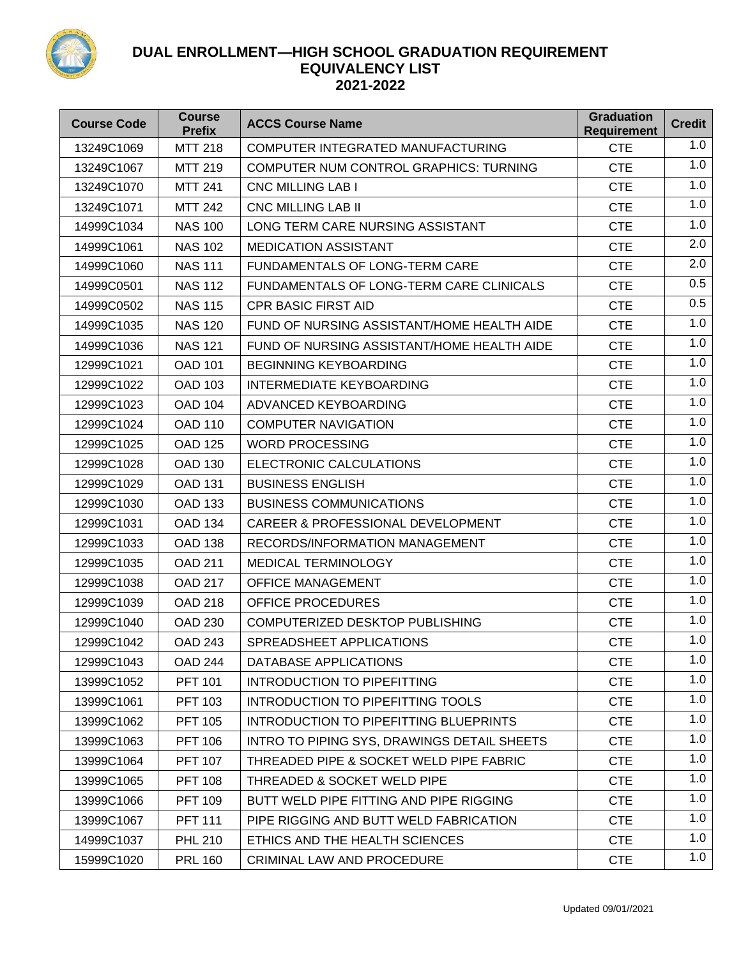

| <b>Course Code</b> | <b>Course</b><br><b>Prefix</b> | <b>ACCS Course Name</b>                      | <b>Graduation</b><br><b>Requirement</b> | <b>Credit</b> |
|--------------------|--------------------------------|----------------------------------------------|-----------------------------------------|---------------|
| 13249C1069         | <b>MTT 218</b>                 | COMPUTER INTEGRATED MANUFACTURING            | <b>CTE</b>                              | 1.0           |
| 13249C1067         | <b>MTT 219</b>                 | COMPUTER NUM CONTROL GRAPHICS: TURNING       | <b>CTE</b>                              | 1.0           |
| 13249C1070         | <b>MTT 241</b>                 | <b>CNC MILLING LAB I</b>                     | <b>CTE</b>                              | 1.0           |
| 13249C1071         | <b>MTT 242</b>                 | <b>CNC MILLING LAB II</b>                    | <b>CTE</b>                              | 1.0           |
| 14999C1034         | <b>NAS 100</b>                 | LONG TERM CARE NURSING ASSISTANT             | <b>CTE</b>                              | 1.0           |
| 14999C1061         | <b>NAS 102</b>                 | <b>MEDICATION ASSISTANT</b>                  | <b>CTE</b>                              | 2.0           |
| 14999C1060         | <b>NAS 111</b>                 | FUNDAMENTALS OF LONG-TERM CARE               | <b>CTE</b>                              | 2.0           |
| 14999C0501         | <b>NAS 112</b>                 | FUNDAMENTALS OF LONG-TERM CARE CLINICALS     | <b>CTE</b>                              | 0.5           |
| 14999C0502         | <b>NAS 115</b>                 | <b>CPR BASIC FIRST AID</b>                   | <b>CTE</b>                              | 0.5           |
| 14999C1035         | <b>NAS 120</b>                 | FUND OF NURSING ASSISTANT/HOME HEALTH AIDE   | <b>CTE</b>                              | 1.0           |
| 14999C1036         | <b>NAS 121</b>                 | FUND OF NURSING ASSISTANT/HOME HEALTH AIDE   | <b>CTE</b>                              | 1.0           |
| 12999C1021         | <b>OAD 101</b>                 | <b>BEGINNING KEYBOARDING</b>                 | <b>CTE</b>                              | 1.0           |
| 12999C1022         | <b>OAD 103</b>                 | <b>INTERMEDIATE KEYBOARDING</b>              | <b>CTE</b>                              | 1.0           |
| 12999C1023         | <b>OAD 104</b>                 | ADVANCED KEYBOARDING                         | <b>CTE</b>                              | 1.0           |
| 12999C1024         | <b>OAD 110</b>                 | <b>COMPUTER NAVIGATION</b>                   | <b>CTE</b>                              | 1.0           |
| 12999C1025         | <b>OAD 125</b>                 | <b>WORD PROCESSING</b>                       | <b>CTE</b>                              | 1.0           |
| 12999C1028         | <b>OAD 130</b>                 | ELECTRONIC CALCULATIONS                      | <b>CTE</b>                              | 1.0           |
| 12999C1029         | <b>OAD 131</b>                 | <b>BUSINESS ENGLISH</b>                      | <b>CTE</b>                              | 1.0           |
| 12999C1030         | <b>OAD 133</b>                 | <b>BUSINESS COMMUNICATIONS</b>               | <b>CTE</b>                              | 1.0           |
| 12999C1031         | <b>OAD 134</b>                 | <b>CAREER &amp; PROFESSIONAL DEVELOPMENT</b> | <b>CTE</b>                              | 1.0           |
| 12999C1033         | <b>OAD 138</b>                 | RECORDS/INFORMATION MANAGEMENT               | <b>CTE</b>                              | 1.0           |
| 12999C1035         | <b>OAD 211</b>                 | <b>MEDICAL TERMINOLOGY</b>                   | <b>CTE</b>                              | 1.0           |
| 12999C1038         | <b>OAD 217</b>                 | <b>OFFICE MANAGEMENT</b>                     | <b>CTE</b>                              | 1.0           |
| 12999C1039         | <b>OAD 218</b>                 | OFFICE PROCEDURES                            | <b>CTE</b>                              | 1.0           |
| 12999C1040         | <b>OAD 230</b>                 | COMPUTERIZED DESKTOP PUBLISHING              | <b>CTE</b>                              | 1.0           |
| 12999C1042         | <b>OAD 243</b>                 | SPREADSHEET APPLICATIONS                     | <b>CTE</b>                              | 1.0           |
| 12999C1043         | <b>OAD 244</b>                 | DATABASE APPLICATIONS                        | <b>CTE</b>                              | 1.0           |
| 13999C1052         | <b>PFT 101</b>                 | <b>INTRODUCTION TO PIPEFITTING</b>           | <b>CTE</b>                              | 1.0           |
| 13999C1061         | <b>PFT 103</b>                 | INTRODUCTION TO PIPEFITTING TOOLS            | <b>CTE</b>                              | 1.0           |
| 13999C1062         | <b>PFT 105</b>                 | INTRODUCTION TO PIPEFITTING BLUEPRINTS       | <b>CTE</b>                              | 1.0           |
| 13999C1063         | <b>PFT 106</b>                 | INTRO TO PIPING SYS, DRAWINGS DETAIL SHEETS  | <b>CTE</b>                              | 1.0           |
| 13999C1064         | <b>PFT 107</b>                 | THREADED PIPE & SOCKET WELD PIPE FABRIC      | <b>CTE</b>                              | 1.0           |
| 13999C1065         | <b>PFT 108</b>                 | THREADED & SOCKET WELD PIPE                  | <b>CTE</b>                              | 1.0           |
| 13999C1066         | <b>PFT 109</b>                 | BUTT WELD PIPE FITTING AND PIPE RIGGING      | <b>CTE</b>                              | 1.0           |
| 13999C1067         | <b>PFT 111</b>                 | PIPE RIGGING AND BUTT WELD FABRICATION       | <b>CTE</b>                              | 1.0           |
| 14999C1037         | <b>PHL 210</b>                 | ETHICS AND THE HEALTH SCIENCES               | <b>CTE</b>                              | 1.0           |
| 15999C1020         | <b>PRL 160</b>                 | CRIMINAL LAW AND PROCEDURE                   | <b>CTE</b>                              | 1.0           |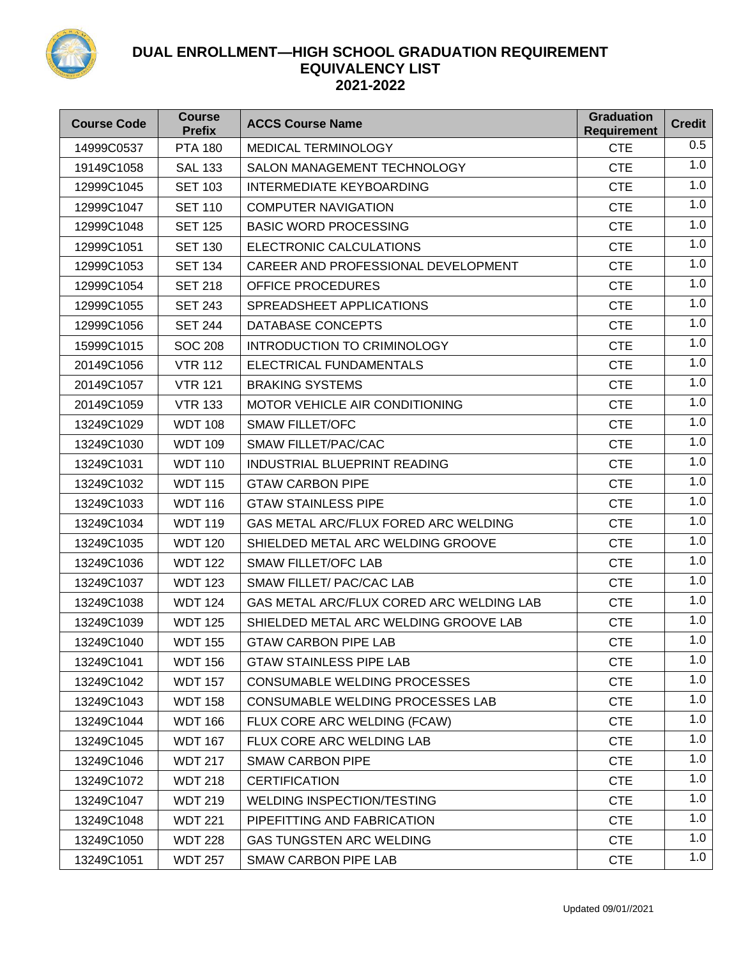

| <b>Course Code</b> | <b>Course</b><br><b>Prefix</b> | <b>ACCS Course Name</b>                  | <b>Graduation</b><br><b>Requirement</b> | <b>Credit</b> |
|--------------------|--------------------------------|------------------------------------------|-----------------------------------------|---------------|
| 14999C0537         | <b>PTA 180</b>                 | <b>MEDICAL TERMINOLOGY</b>               | <b>CTE</b>                              | 0.5           |
| 19149C1058         | <b>SAL 133</b>                 | SALON MANAGEMENT TECHNOLOGY              | <b>CTE</b>                              | 1.0           |
| 12999C1045         | <b>SET 103</b>                 | <b>INTERMEDIATE KEYBOARDING</b>          | <b>CTE</b>                              | 1.0           |
| 12999C1047         | <b>SET 110</b>                 | <b>COMPUTER NAVIGATION</b>               | <b>CTE</b>                              | 1.0           |
| 12999C1048         | <b>SET 125</b>                 | <b>BASIC WORD PROCESSING</b>             | <b>CTE</b>                              | 1.0           |
| 12999C1051         | <b>SET 130</b>                 | ELECTRONIC CALCULATIONS                  | <b>CTE</b>                              | 1.0           |
| 12999C1053         | <b>SET 134</b>                 | CAREER AND PROFESSIONAL DEVELOPMENT      | <b>CTE</b>                              | 1.0           |
| 12999C1054         | <b>SET 218</b>                 | <b>OFFICE PROCEDURES</b>                 | <b>CTE</b>                              | 1.0           |
| 12999C1055         | <b>SET 243</b>                 | SPREADSHEET APPLICATIONS                 | <b>CTE</b>                              | 1.0           |
| 12999C1056         | <b>SET 244</b>                 | DATABASE CONCEPTS                        | <b>CTE</b>                              | 1.0           |
| 15999C1015         | <b>SOC 208</b>                 | INTRODUCTION TO CRIMINOLOGY              | <b>CTE</b>                              | 1.0           |
| 20149C1056         | <b>VTR 112</b>                 | ELECTRICAL FUNDAMENTALS                  | <b>CTE</b>                              | 1.0           |
| 20149C1057         | <b>VTR 121</b>                 | <b>BRAKING SYSTEMS</b>                   | <b>CTE</b>                              | 1.0           |
| 20149C1059         | <b>VTR 133</b>                 | MOTOR VEHICLE AIR CONDITIONING           | <b>CTE</b>                              | 1.0           |
| 13249C1029         | <b>WDT 108</b>                 | <b>SMAW FILLET/OFC</b>                   | <b>CTE</b>                              | 1.0           |
| 13249C1030         | <b>WDT 109</b>                 | <b>SMAW FILLET/PAC/CAC</b>               | <b>CTE</b>                              | 1.0           |
| 13249C1031         | <b>WDT 110</b>                 | INDUSTRIAL BLUEPRINT READING             | <b>CTE</b>                              | 1.0           |
| 13249C1032         | <b>WDT 115</b>                 | <b>GTAW CARBON PIPE</b>                  | <b>CTE</b>                              | 1.0           |
| 13249C1033         | <b>WDT 116</b>                 | <b>GTAW STAINLESS PIPE</b>               | <b>CTE</b>                              | 1.0           |
| 13249C1034         | <b>WDT 119</b>                 | GAS METAL ARC/FLUX FORED ARC WELDING     | <b>CTE</b>                              | 1.0           |
| 13249C1035         | <b>WDT 120</b>                 | SHIELDED METAL ARC WELDING GROOVE        | <b>CTE</b>                              | 1.0           |
| 13249C1036         | <b>WDT 122</b>                 | <b>SMAW FILLET/OFC LAB</b>               | <b>CTE</b>                              | 1.0           |
| 13249C1037         | <b>WDT 123</b>                 | SMAW FILLET/ PAC/CAC LAB                 | <b>CTE</b>                              | 1.0           |
| 13249C1038         | <b>WDT 124</b>                 | GAS METAL ARC/FLUX CORED ARC WELDING LAB | <b>CTE</b>                              | 1.0           |
| 13249C1039         | <b>WDT 125</b>                 | SHIELDED METAL ARC WELDING GROOVE LAB    | <b>CTE</b>                              | 1.0           |
| 13249C1040         | <b>WDT 155</b>                 | <b>GTAW CARBON PIPE LAB</b>              | <b>CTE</b>                              | 1.0           |
| 13249C1041         | <b>WDT 156</b>                 | <b>GTAW STAINLESS PIPE LAB</b>           | <b>CTE</b>                              | 1.0           |
| 13249C1042         | <b>WDT 157</b>                 | CONSUMABLE WELDING PROCESSES             | <b>CTE</b>                              | 1.0           |
| 13249C1043         | <b>WDT 158</b>                 | CONSUMABLE WELDING PROCESSES LAB         | <b>CTE</b>                              | 1.0           |
| 13249C1044         | <b>WDT 166</b>                 | FLUX CORE ARC WELDING (FCAW)             | <b>CTE</b>                              | 1.0           |
| 13249C1045         | <b>WDT 167</b>                 | FLUX CORE ARC WELDING LAB                | <b>CTE</b>                              | 1.0           |
| 13249C1046         | <b>WDT 217</b>                 | <b>SMAW CARBON PIPE</b>                  | <b>CTE</b>                              | 1.0           |
| 13249C1072         | <b>WDT 218</b>                 | <b>CERTIFICATION</b>                     | <b>CTE</b>                              | 1.0           |
| 13249C1047         | <b>WDT 219</b>                 | <b>WELDING INSPECTION/TESTING</b>        | <b>CTE</b>                              | 1.0           |
| 13249C1048         | <b>WDT 221</b>                 | PIPEFITTING AND FABRICATION              | <b>CTE</b>                              | 1.0           |
| 13249C1050         | <b>WDT 228</b>                 | <b>GAS TUNGSTEN ARC WELDING</b>          | <b>CTE</b>                              | 1.0           |
| 13249C1051         | <b>WDT 257</b>                 | <b>SMAW CARBON PIPE LAB</b>              | <b>CTE</b>                              | 1.0           |